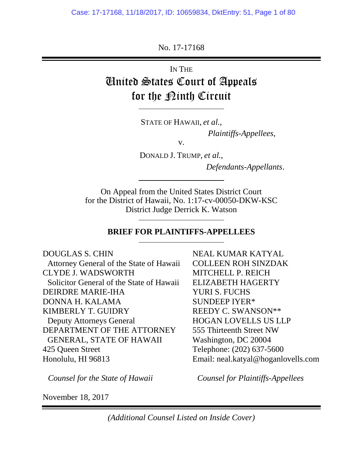No. 17-17168

IN THE United States Court of Appeals for the <u>Pinth</u> Circuit

STATE OF HAWAII, *et al.*,

*Plaintiffs-Appellees*,

v.

DONALD J. TRUMP, *et al.*,

*Defendants-Appellants*.

On Appeal from the United States District Court for the District of Hawaii, No. 1:17-cv-00050-DKW-KSC District Judge Derrick K. Watson

#### **BRIEF FOR PLAINTIFFS-APPELLEES**

DOUGLAS S. CHIN Attorney General of the State of Hawaii CLYDE J. WADSWORTH Solicitor General of the State of Hawaii DEIRDRE MARIE-IHA DONNA H. KALAMA KIMBERLY T. GUIDRY Deputy Attorneys General DEPARTMENT OF THE ATTORNEY GENERAL, STATE OF HAWAII 425 Queen Street Honolulu, HI 96813

NEAL KUMAR KATYAL COLLEEN ROH SINZDAK MITCHELL P. REICH ELIZABETH HAGERTY YURI S. FUCHS SUNDEEP IYER\* REEDY C. SWANSON\*\* HOGAN LOVELLS US LLP 555 Thirteenth Street NW Washington, DC 20004 Telephone: (202) 637-5600 Email: neal.katyal@hoganlovells.com

*Counsel for the State of Hawaii*

*Counsel for Plaintiffs-Appellees*

November 18, 2017

*(Additional Counsel Listed on Inside Cover)*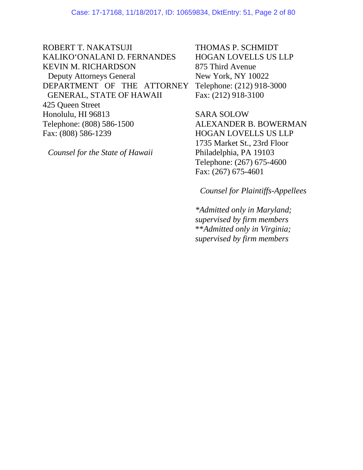ROBERT T. NAKATSUJI KALIKO'ONALANI D. FERNANDES KEVIN M. RICHARDSON Deputy Attorneys General DEPARTMENT OF THE ATTORNEY GENERAL, STATE OF HAWAII 425 Queen Street Honolulu, HI 96813 Telephone: (808) 586-1500 Fax: (808) 586-1239

*Counsel for the State of Hawaii*

THOMAS P. SCHMIDT HOGAN LOVELLS US LLP 875 Third Avenue New York, NY 10022 Telephone: (212) 918-3000 Fax: (212) 918-3100

SARA SOLOW ALEXANDER B. BOWERMAN HOGAN LOVELLS US LLP 1735 Market St., 23rd Floor Philadelphia, PA 19103 Telephone: (267) 675-4600 Fax: (267) 675-4601

*Counsel for Plaintiffs-Appellees*

*\*Admitted only in Maryland; supervised by firm members* \*\**Admitted only in Virginia; supervised by firm members*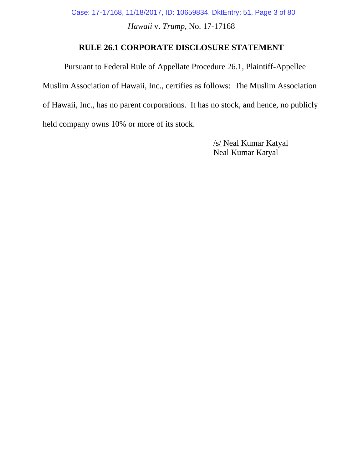Case: 17-17168, 11/18/2017, ID: 10659834, DktEntry: 51, Page 3 of 80

*Hawaii* v. *Trump*, No. 17-17168

## **RULE 26.1 CORPORATE DISCLOSURE STATEMENT**

Pursuant to Federal Rule of Appellate Procedure 26.1, Plaintiff-Appellee Muslim Association of Hawaii, Inc., certifies as follows: The Muslim Association of Hawaii, Inc., has no parent corporations. It has no stock, and hence, no publicly held company owns 10% or more of its stock.

> /s/ Neal Kumar Katyal Neal Kumar Katyal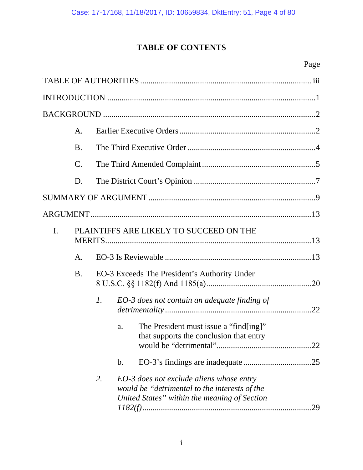# **TABLE OF CONTENTS**

# Page

|                | A.              |                                              |               |                                                                                                                                           |     |
|----------------|-----------------|----------------------------------------------|---------------|-------------------------------------------------------------------------------------------------------------------------------------------|-----|
|                | <b>B.</b>       |                                              |               |                                                                                                                                           |     |
|                | $\mathcal{C}$ . |                                              |               |                                                                                                                                           |     |
|                | D.              |                                              |               |                                                                                                                                           |     |
|                |                 |                                              |               |                                                                                                                                           |     |
|                |                 |                                              |               |                                                                                                                                           |     |
| $\mathbf{I}$ . |                 | PLAINTIFFS ARE LIKELY TO SUCCEED ON THE      |               |                                                                                                                                           |     |
|                | A.              |                                              |               |                                                                                                                                           |     |
|                | <b>B.</b>       | EO-3 Exceeds The President's Authority Under |               |                                                                                                                                           |     |
|                |                 | $\mathcal{I}$ .                              |               | EO-3 does not contain an adequate finding of                                                                                              |     |
|                |                 |                                              | a.            | The President must issue a "find[ing]"<br>that supports the conclusion that entry                                                         |     |
|                |                 |                                              | $\mathbf b$ . |                                                                                                                                           |     |
|                |                 | 2.                                           |               | EO-3 does not exclude aliens whose entry<br>would be "detrimental to the interests of the<br>United States" within the meaning of Section | .29 |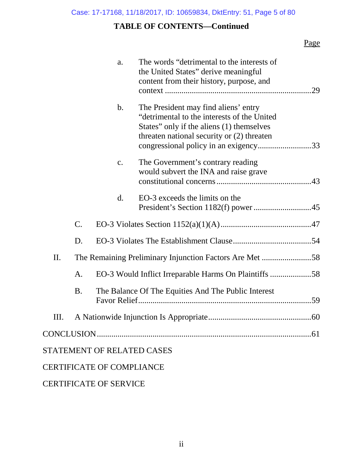## **TABLE OF CONTENTS—Continued**

## Page

|     |           | a.                               | The words "detrimental to the interests of<br>the United States" derive meaningful<br>content from their history, purpose, and                                                                                          | .29 |
|-----|-----------|----------------------------------|-------------------------------------------------------------------------------------------------------------------------------------------------------------------------------------------------------------------------|-----|
|     |           | $b$ .                            | The President may find aliens' entry<br>"detrimental to the interests of the United<br>States" only if the aliens (1) themselves<br>threaten national security or (2) threaten<br>congressional policy in an exigency33 |     |
|     |           | c.                               | The Government's contrary reading<br>would subvert the INA and raise grave                                                                                                                                              |     |
|     |           | $\mathbf{d}$ .                   | EO-3 exceeds the limits on the                                                                                                                                                                                          |     |
|     | $C$ .     |                                  |                                                                                                                                                                                                                         |     |
|     | D.        |                                  |                                                                                                                                                                                                                         |     |
| II. |           |                                  | The Remaining Preliminary Injunction Factors Are Met 58                                                                                                                                                                 |     |
|     | A.        |                                  | EO-3 Would Inflict Irreparable Harms On Plaintiffs 58                                                                                                                                                                   |     |
|     | <b>B.</b> |                                  | The Balance Of The Equities And The Public Interest                                                                                                                                                                     |     |
| Ш.  |           |                                  |                                                                                                                                                                                                                         |     |
|     |           |                                  |                                                                                                                                                                                                                         |     |
|     |           | STATEMENT OF RELATED CASES       |                                                                                                                                                                                                                         |     |
|     |           | <b>CERTIFICATE OF COMPLIANCE</b> |                                                                                                                                                                                                                         |     |
|     |           |                                  |                                                                                                                                                                                                                         |     |

## CERTIFICATE OF SERVICE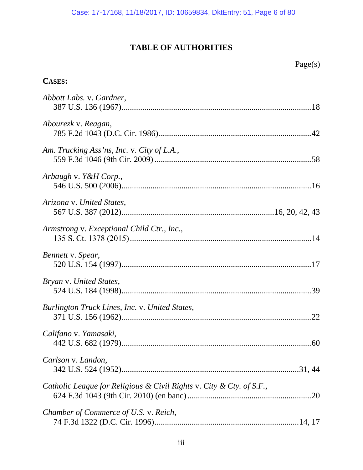# **TABLE OF AUTHORITIES**

## **CASES:**

| Abbott Labs. v. Gardner,                                             |
|----------------------------------------------------------------------|
| Abourezk v. Reagan,                                                  |
| Am. Trucking Ass'ns, Inc. v. City of L.A.,                           |
| Arbaugh v. Y&H Corp.,                                                |
| Arizona v. United States,                                            |
| Armstrong v. Exceptional Child Ctr., Inc.,                           |
| Bennett v. Spear,                                                    |
| Bryan v. United States,                                              |
| Burlington Truck Lines, Inc. v. United States,                       |
| Califano v. Yamasaki,                                                |
| Carlson v. Landon,                                                   |
| Catholic League for Religious & Civil Rights v. City & Cty. of S.F., |
| Chamber of Commerce of U.S. v. Reich,                                |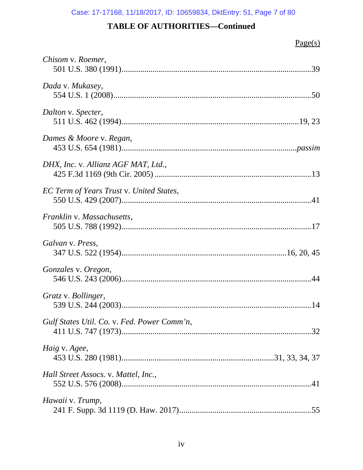| Chisom v. Roemer,                           |  |
|---------------------------------------------|--|
| Dada v. Mukasey,                            |  |
| Dalton v. Specter,                          |  |
| Dames & Moore v. Regan,                     |  |
| DHX, Inc. v. Allianz AGF MAT, Ltd.,         |  |
| EC Term of Years Trust v. United States,    |  |
| Franklin v. Massachusetts,                  |  |
| Galvan v. Press,                            |  |
| Gonzales v. Oregon,                         |  |
| Gratz v. Bollinger,                         |  |
| Gulf States Util. Co. v. Fed. Power Comm'n, |  |
| Haig v. Agee,                               |  |
| Hall Street Assocs. v. Mattel, Inc.,        |  |
| Hawaii v. Trump,                            |  |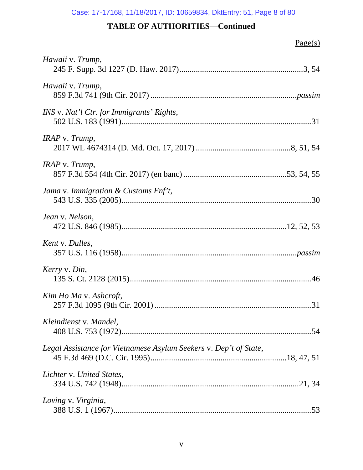| Hawaii v. Trump,                                                  |
|-------------------------------------------------------------------|
| Hawaii v. Trump,                                                  |
| INS v. Nat'l Ctr. for Immigrants' Rights,                         |
| IRAP v. Trump,                                                    |
| IRAP v. Trump,                                                    |
| Jama v. Immigration $\&$ Customs Enf't,                           |
| Jean v. Nelson,                                                   |
| Kent v. Dulles,                                                   |
| Kerry v. Din,                                                     |
| Kim Ho Ma v. Ashcroft,                                            |
| Kleindienst v. Mandel,                                            |
| Legal Assistance for Vietnamese Asylum Seekers v. Dep't of State, |
| Lichter v. United States,                                         |
| Loving v. Virginia,                                               |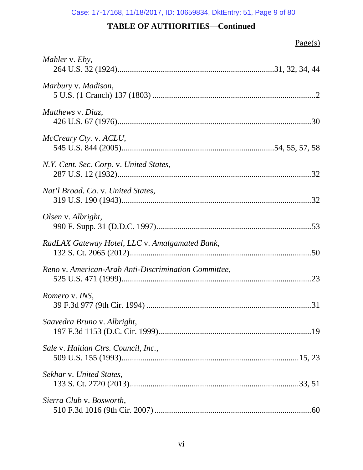| Mahler v. Eby,                                       |
|------------------------------------------------------|
| Marbury v. Madison,                                  |
| Matthews v. Diaz,                                    |
| McCreary Cty. v. ACLU,                               |
| N.Y. Cent. Sec. Corp. v. United States,              |
| Nat'l Broad. Co. v. United States,                   |
| Olsen v. Albright,                                   |
| RadLAX Gateway Hotel, LLC v. Amalgamated Bank,       |
| Reno v. American-Arab Anti-Discrimination Committee, |
| Romero v. INS,                                       |
| Saavedra Bruno v. Albright,                          |
| Sale v. Haitian Ctrs. Council, Inc.,                 |
| Sekhar v. United States,                             |
| Sierra Club v. Bosworth,                             |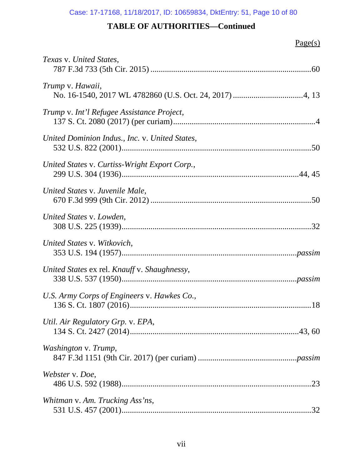| Texas v. United States.                        |
|------------------------------------------------|
| Trump v. Hawaii,                               |
| Trump v. Int'l Refugee Assistance Project,     |
| United Dominion Indus., Inc. v. United States, |
| United States v. Curtiss-Wright Export Corp.,  |
| United States v. Juvenile Male,                |
| United States v. Lowden,                       |
| United States v. Witkovich,                    |
| United States ex rel. Knauff v. Shaughnessy,   |
| U.S. Army Corps of Engineers v. Hawkes Co.,    |
| Util. Air Regulatory Grp. v. EPA,              |
| Washington v. Trump,                           |
| Webster v. Doe,                                |
| Whitman v. Am. Trucking Ass'ns,                |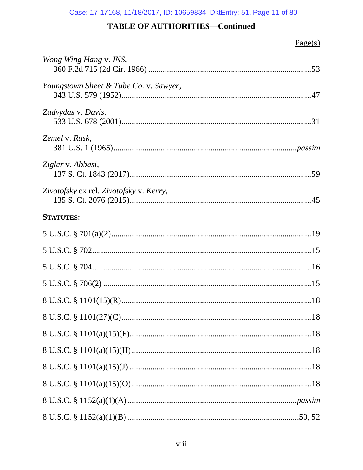| Wong Wing Hang v. INS,                  |
|-----------------------------------------|
| Youngstown Sheet & Tube Co. v. Sawyer,  |
| Zadvydas v. Davis,                      |
| Zemel v. Rusk,                          |
| Ziglar v. Abbasi,                       |
| Zivotofsky ex rel. Zivotofsky v. Kerry, |
| <b>STATUTES:</b>                        |
|                                         |
|                                         |
|                                         |
|                                         |
|                                         |
|                                         |
|                                         |
|                                         |
|                                         |
|                                         |
|                                         |
|                                         |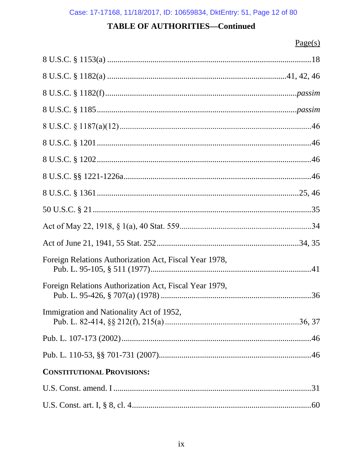| Foreign Relations Authorization Act, Fiscal Year 1978, |
|--------------------------------------------------------|
| Foreign Relations Authorization Act, Fiscal Year 1979, |
| Immigration and Nationality Act of 1952,               |
|                                                        |
|                                                        |
| <b>CONSTITUTIONAL PROVISIONS:</b>                      |
|                                                        |
|                                                        |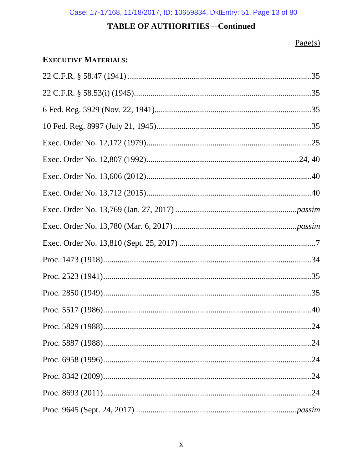## $Page(s)$

## **EXECUTIVE MATERIALS:**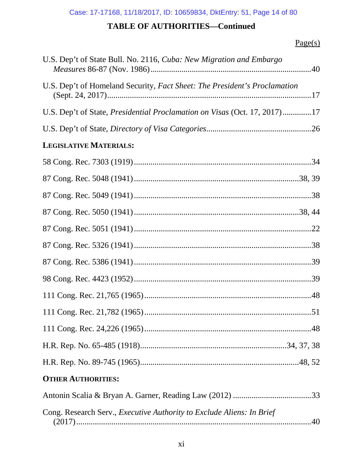| U.S. Dep't of State Bull. No. 2116, Cuba: New Migration and Embargo              |  |
|----------------------------------------------------------------------------------|--|
| U.S. Dep't of Homeland Security, Fact Sheet: The President's Proclamation        |  |
| U.S. Dep't of State, <i>Presidential Proclamation on Visas</i> (Oct. 17, 2017)17 |  |
|                                                                                  |  |
| LEGISLATIVE MATERIALS:                                                           |  |
|                                                                                  |  |
|                                                                                  |  |
|                                                                                  |  |
|                                                                                  |  |
|                                                                                  |  |
|                                                                                  |  |
|                                                                                  |  |
|                                                                                  |  |
|                                                                                  |  |
|                                                                                  |  |
|                                                                                  |  |
|                                                                                  |  |
|                                                                                  |  |
| <b>OTHER AUTHORITIES:</b>                                                        |  |
|                                                                                  |  |
| Cong. Research Serv., Executive Authority to Exclude Aliens: In Brief            |  |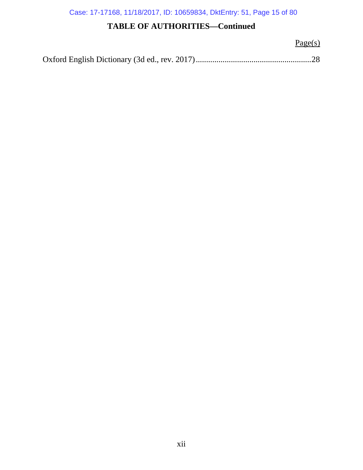Case: 17-17168, 11/18/2017, ID: 10659834, DktEntry: 51, Page 15 of 80

## **TABLE OF AUTHORITIES—Continued**

 $Page(s)$ 

Oxford English Dictionary (3d ed., rev. 2017)........................................................28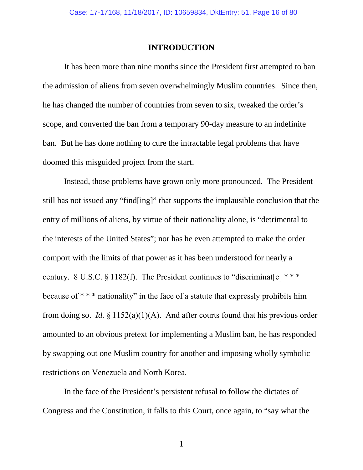#### **INTRODUCTION**

It has been more than nine months since the President first attempted to ban the admission of aliens from seven overwhelmingly Muslim countries. Since then, he has changed the number of countries from seven to six, tweaked the order's scope, and converted the ban from a temporary 90-day measure to an indefinite ban. But he has done nothing to cure the intractable legal problems that have doomed this misguided project from the start.

Instead, those problems have grown only more pronounced. The President still has not issued any "find[ing]" that supports the implausible conclusion that the entry of millions of aliens, by virtue of their nationality alone, is "detrimental to the interests of the United States"; nor has he even attempted to make the order comport with the limits of that power as it has been understood for nearly a century. 8 U.S.C. § 1182(f). The President continues to "discriminat[e]  $***$ because of \* \* \* nationality" in the face of a statute that expressly prohibits him from doing so. *Id.*  $\S 1152(a)(1)(A)$ . And after courts found that his previous order amounted to an obvious pretext for implementing a Muslim ban, he has responded by swapping out one Muslim country for another and imposing wholly symbolic restrictions on Venezuela and North Korea.

In the face of the President's persistent refusal to follow the dictates of Congress and the Constitution, it falls to this Court, once again, to "say what the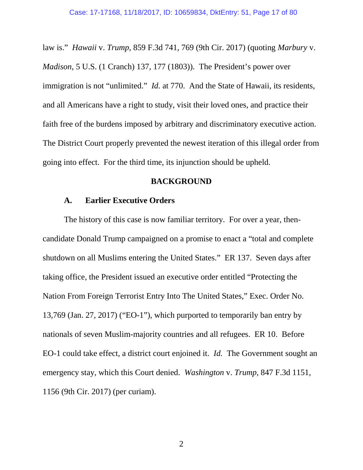law is." *Hawaii* v. *Trump*, 859 F.3d 741, 769 (9th Cir. 2017) (quoting *Marbury* v. *Madison*, 5 U.S. (1 Cranch) 137, 177 (1803)). The President's power over immigration is not "unlimited." *Id.* at 770. And the State of Hawaii, its residents, and all Americans have a right to study, visit their loved ones, and practice their faith free of the burdens imposed by arbitrary and discriminatory executive action. The District Court properly prevented the newest iteration of this illegal order from going into effect. For the third time, its injunction should be upheld.

### **BACKGROUND**

### **A. Earlier Executive Orders**

The history of this case is now familiar territory. For over a year, thencandidate Donald Trump campaigned on a promise to enact a "total and complete shutdown on all Muslims entering the United States." ER 137. Seven days after taking office, the President issued an executive order entitled "Protecting the Nation From Foreign Terrorist Entry Into The United States," Exec. Order No. 13,769 (Jan. 27, 2017) ("EO-1"), which purported to temporarily ban entry by nationals of seven Muslim-majority countries and all refugees. ER 10. Before EO-1 could take effect, a district court enjoined it. *Id.* The Government sought an emergency stay, which this Court denied. *Washington* v. *Trump*, 847 F.3d 1151, 1156 (9th Cir. 2017) (per curiam).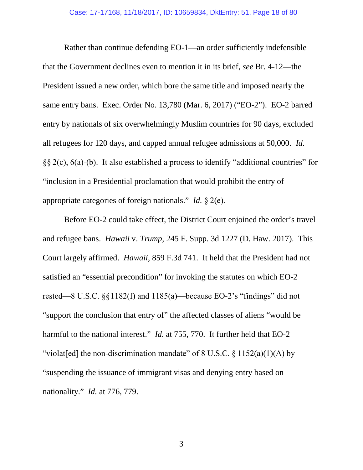Rather than continue defending EO-1—an order sufficiently indefensible that the Government declines even to mention it in its brief, *see* Br. 4-12—the President issued a new order, which bore the same title and imposed nearly the same entry bans. Exec. Order No. 13,780 (Mar. 6, 2017) ("EO-2"). EO-2 barred entry by nationals of six overwhelmingly Muslim countries for 90 days, excluded all refugees for 120 days, and capped annual refugee admissions at 50,000. *Id.* §§ 2(c), 6(a)-(b). It also established a process to identify "additional countries" for "inclusion in a Presidential proclamation that would prohibit the entry of appropriate categories of foreign nationals." *Id.* § 2(e).

Before EO-2 could take effect, the District Court enjoined the order's travel and refugee bans. *Hawaii* v. *Trump*, 245 F. Supp. 3d 1227 (D. Haw. 2017). This Court largely affirmed. *Hawaii*, 859 F.3d 741. It held that the President had not satisfied an "essential precondition" for invoking the statutes on which EO-2 rested—8 U.S.C. §§1182(f) and 1185(a)—because EO-2's "findings" did not "support the conclusion that entry of" the affected classes of aliens "would be harmful to the national interest." *Id.* at 755, 770. It further held that EO-2 "violat[ed] the non-discrimination mandate" of  $8 \text{ U.S.C. } \frac{6}{5} \cdot 1152(a)(1)(\text{A})$  by "suspending the issuance of immigrant visas and denying entry based on nationality." *Id.* at 776, 779.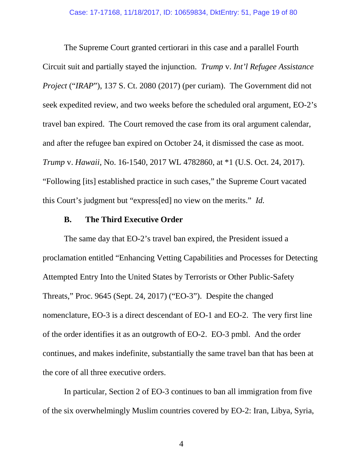The Supreme Court granted certiorari in this case and a parallel Fourth Circuit suit and partially stayed the injunction. *Trump* v. *Int'l Refugee Assistance Project* ("*IRAP*"), 137 S. Ct. 2080 (2017) (per curiam). The Government did not seek expedited review, and two weeks before the scheduled oral argument, EO-2's travel ban expired. The Court removed the case from its oral argument calendar, and after the refugee ban expired on October 24, it dismissed the case as moot. *Trump* v. *Hawaii*, No. 16-1540, 2017 WL 4782860, at \*1 (U.S. Oct. 24, 2017). "Following [its] established practice in such cases," the Supreme Court vacated this Court's judgment but "express[ed] no view on the merits." *Id.*

### **B. The Third Executive Order**

The same day that EO-2's travel ban expired, the President issued a proclamation entitled "Enhancing Vetting Capabilities and Processes for Detecting Attempted Entry Into the United States by Terrorists or Other Public-Safety Threats," Proc. 9645 (Sept. 24, 2017) ("EO-3"). Despite the changed nomenclature, EO-3 is a direct descendant of EO-1 and EO-2. The very first line of the order identifies it as an outgrowth of EO-2. EO-3 pmbl. And the order continues, and makes indefinite, substantially the same travel ban that has been at the core of all three executive orders.

In particular, Section 2 of EO-3 continues to ban all immigration from five of the six overwhelmingly Muslim countries covered by EO-2: Iran, Libya, Syria,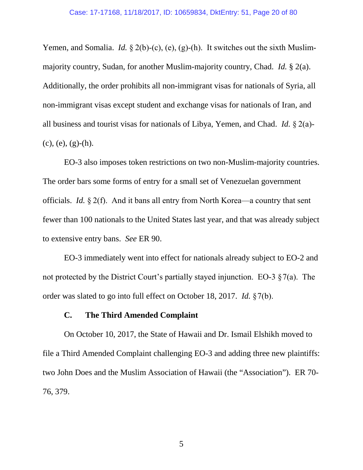Yemen, and Somalia. *Id.* § 2(b)-(c), (e), (g)-(h). It switches out the sixth Muslimmajority country, Sudan, for another Muslim-majority country, Chad. *Id.* § 2(a). Additionally, the order prohibits all non-immigrant visas for nationals of Syria, all non-immigrant visas except student and exchange visas for nationals of Iran, and all business and tourist visas for nationals of Libya, Yemen, and Chad. *Id.* § 2(a)-  $(c), (e), (g)-(h).$ 

EO-3 also imposes token restrictions on two non-Muslim-majority countries. The order bars some forms of entry for a small set of Venezuelan government officials. *Id.* § 2(f). And it bans all entry from North Korea—a country that sent fewer than 100 nationals to the United States last year, and that was already subject to extensive entry bans. *See* ER 90.

EO-3 immediately went into effect for nationals already subject to EO-2 and not protected by the District Court's partially stayed injunction. EO-3  $\S 7(a)$ . The order was slated to go into full effect on October 18, 2017. *Id.* §7(b).

### **C. The Third Amended Complaint**

On October 10, 2017, the State of Hawaii and Dr. Ismail Elshikh moved to file a Third Amended Complaint challenging EO-3 and adding three new plaintiffs: two John Does and the Muslim Association of Hawaii (the "Association"). ER 70- 76, 379.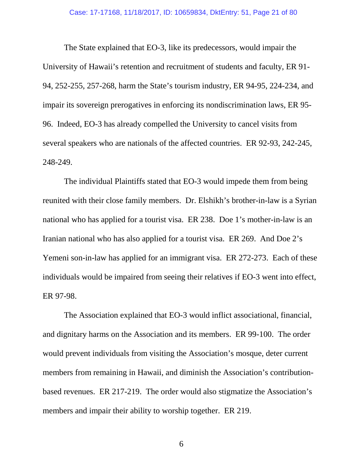The State explained that EO-3, like its predecessors, would impair the University of Hawaii's retention and recruitment of students and faculty, ER 91- 94, 252-255, 257-268, harm the State's tourism industry, ER 94-95, 224-234, and impair its sovereign prerogatives in enforcing its nondiscrimination laws, ER 95- 96. Indeed, EO-3 has already compelled the University to cancel visits from several speakers who are nationals of the affected countries. ER 92-93, 242-245, 248-249.

The individual Plaintiffs stated that EO-3 would impede them from being reunited with their close family members. Dr. Elshikh's brother-in-law is a Syrian national who has applied for a tourist visa. ER 238. Doe 1's mother-in-law is an Iranian national who has also applied for a tourist visa. ER 269. And Doe 2's Yemeni son-in-law has applied for an immigrant visa. ER 272-273. Each of these individuals would be impaired from seeing their relatives if EO-3 went into effect, ER 97-98.

The Association explained that EO-3 would inflict associational, financial, and dignitary harms on the Association and its members. ER 99-100. The order would prevent individuals from visiting the Association's mosque, deter current members from remaining in Hawaii, and diminish the Association's contributionbased revenues. ER 217-219. The order would also stigmatize the Association's members and impair their ability to worship together. ER 219.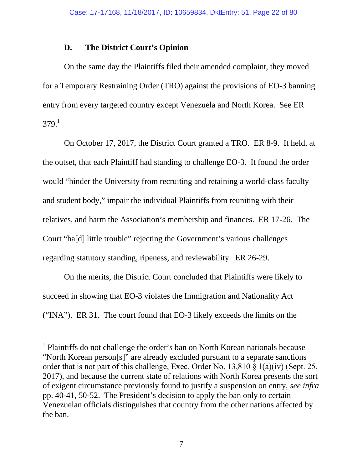### **D. The District Court's Opinion**

On the same day the Plaintiffs filed their amended complaint, they moved for a Temporary Restraining Order (TRO) against the provisions of EO-3 banning entry from every targeted country except Venezuela and North Korea. See ER  $379.1$ 

On October 17, 2017, the District Court granted a TRO. ER 8-9. It held, at the outset, that each Plaintiff had standing to challenge EO-3. It found the order would "hinder the University from recruiting and retaining a world-class faculty and student body," impair the individual Plaintiffs from reuniting with their relatives, and harm the Association's membership and finances. ER 17-26. The Court "ha[d] little trouble" rejecting the Government's various challenges regarding statutory standing, ripeness, and reviewability. ER 26-29.

On the merits, the District Court concluded that Plaintiffs were likely to succeed in showing that EO-3 violates the Immigration and Nationality Act ("INA"). ER 31. The court found that EO-3 likely exceeds the limits on the

<sup>&</sup>lt;sup>1</sup> Plaintiffs do not challenge the order's ban on North Korean nationals because "North Korean person[s]" are already excluded pursuant to a separate sanctions order that is not part of this challenge, Exec. Order No. 13,810 § 1(a)(iv) (Sept. 25, 2017), and because the current state of relations with North Korea presents the sort of exigent circumstance previously found to justify a suspension on entry, *see infra* pp. 40-41, 50-52. The President's decision to apply the ban only to certain Venezuelan officials distinguishes that country from the other nations affected by the ban.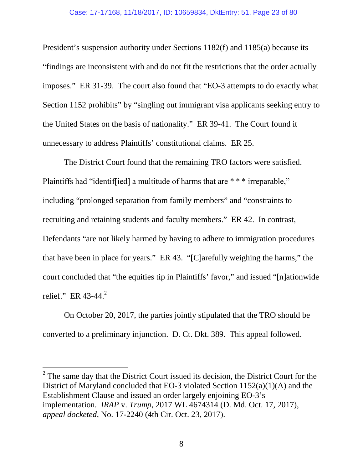#### Case: 17-17168, 11/18/2017, ID: 10659834, DktEntry: 51, Page 23 of 80

President's suspension authority under Sections 1182(f) and 1185(a) because its "findings are inconsistent with and do not fit the restrictions that the order actually imposes." ER 31-39. The court also found that "EO-3 attempts to do exactly what Section 1152 prohibits" by "singling out immigrant visa applicants seeking entry to the United States on the basis of nationality." ER 39-41. The Court found it unnecessary to address Plaintiffs' constitutional claims. ER 25.

The District Court found that the remaining TRO factors were satisfied. Plaintiffs had "identiffied] a multitude of harms that are \* \* \* irreparable," including "prolonged separation from family members" and "constraints to recruiting and retaining students and faculty members." ER 42. In contrast, Defendants "are not likely harmed by having to adhere to immigration procedures that have been in place for years." ER 43. "[C]arefully weighing the harms," the court concluded that "the equities tip in Plaintiffs' favor," and issued "[n]ationwide relief." ER 43-44. $^{2}$ 

On October 20, 2017, the parties jointly stipulated that the TRO should be converted to a preliminary injunction. D. Ct. Dkt. 389. This appeal followed.

 $2^2$  The same day that the District Court issued its decision, the District Court for the District of Maryland concluded that EO-3 violated Section 1152(a)(1)(A) and the Establishment Clause and issued an order largely enjoining EO-3's implementation. *IRAP* v. *Trump*, 2017 WL 4674314 (D. Md. Oct. 17, 2017), *appeal docketed*, No. 17-2240 (4th Cir. Oct. 23, 2017).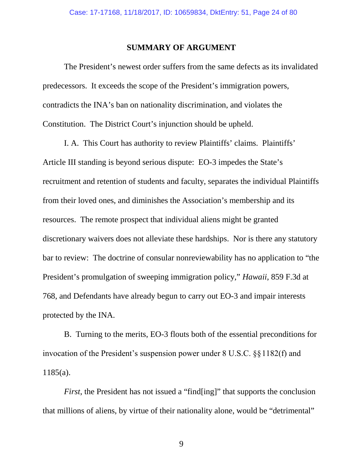#### **SUMMARY OF ARGUMENT**

The President's newest order suffers from the same defects as its invalidated predecessors. It exceeds the scope of the President's immigration powers, contradicts the INA's ban on nationality discrimination, and violates the Constitution. The District Court's injunction should be upheld.

I. A. This Court has authority to review Plaintiffs' claims. Plaintiffs' Article III standing is beyond serious dispute: EO-3 impedes the State's recruitment and retention of students and faculty, separates the individual Plaintiffs from their loved ones, and diminishes the Association's membership and its resources. The remote prospect that individual aliens might be granted discretionary waivers does not alleviate these hardships. Nor is there any statutory bar to review: The doctrine of consular nonreviewability has no application to "the President's promulgation of sweeping immigration policy," *Hawaii*, 859 F.3d at 768, and Defendants have already begun to carry out EO-3 and impair interests protected by the INA.

B. Turning to the merits, EO-3 flouts both of the essential preconditions for invocation of the President's suspension power under 8 U.S.C. §§1182(f) and 1185(a).

*First*, the President has not issued a "find [ing]" that supports the conclusion that millions of aliens, by virtue of their nationality alone, would be "detrimental"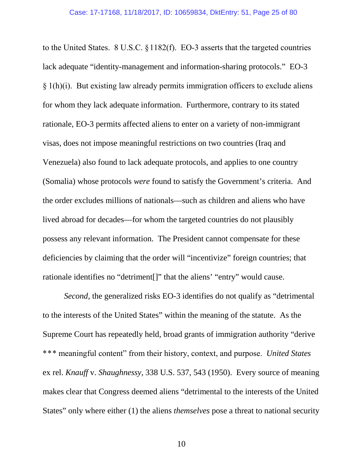to the United States. 8 U.S.C. §1182(f). EO-3 asserts that the targeted countries lack adequate "identity-management and information-sharing protocols." EO-3  $\S 1(h)(i)$ . But existing law already permits immigration officers to exclude aliens for whom they lack adequate information. Furthermore, contrary to its stated rationale, EO-3 permits affected aliens to enter on a variety of non-immigrant visas, does not impose meaningful restrictions on two countries (Iraq and Venezuela) also found to lack adequate protocols, and applies to one country (Somalia) whose protocols *were* found to satisfy the Government's criteria. And the order excludes millions of nationals—such as children and aliens who have lived abroad for decades—for whom the targeted countries do not plausibly possess any relevant information. The President cannot compensate for these deficiencies by claiming that the order will "incentivize" foreign countries; that rationale identifies no "detriment[]" that the aliens' "entry" would cause.

*Second*, the generalized risks EO-3 identifies do not qualify as "detrimental to the interests of the United States" within the meaning of the statute. As the Supreme Court has repeatedly held, broad grants of immigration authority "derive \*\*\* meaningful content" from their history, context, and purpose. *United States* ex rel. *Knauff* v. *Shaughnessy*, 338 U.S. 537, 543 (1950). Every source of meaning makes clear that Congress deemed aliens "detrimental to the interests of the United States" only where either (1) the aliens *themselves* pose a threat to national security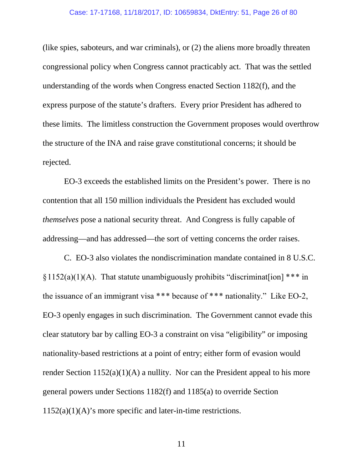(like spies, saboteurs, and war criminals), or (2) the aliens more broadly threaten congressional policy when Congress cannot practicably act. That was the settled understanding of the words when Congress enacted Section 1182(f), and the express purpose of the statute's drafters. Every prior President has adhered to these limits. The limitless construction the Government proposes would overthrow the structure of the INA and raise grave constitutional concerns; it should be rejected.

EO-3 exceeds the established limits on the President's power. There is no contention that all 150 million individuals the President has excluded would *themselves* pose a national security threat. And Congress is fully capable of addressing—and has addressed—the sort of vetting concerns the order raises.

C. EO-3 also violates the nondiscrimination mandate contained in 8 U.S.C.  $§1152(a)(1)(A)$ . That statute unambiguously prohibits "discriminat[ion] \*\*\* in the issuance of an immigrant visa \*\*\* because of \*\*\* nationality." Like EO-2, EO-3 openly engages in such discrimination. The Government cannot evade this clear statutory bar by calling EO-3 a constraint on visa "eligibility" or imposing nationality-based restrictions at a point of entry; either form of evasion would render Section  $1152(a)(1)(A)$  a nullity. Nor can the President appeal to his more general powers under Sections 1182(f) and 1185(a) to override Section  $1152(a)(1)(A)$ 's more specific and later-in-time restrictions.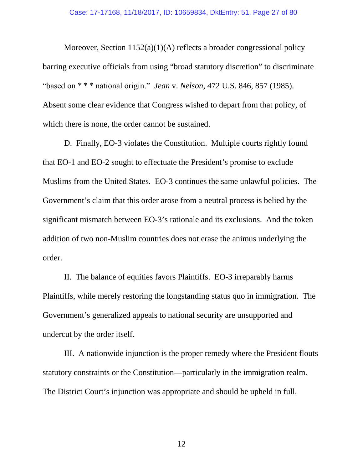Moreover, Section 1152(a)(1)(A) reflects a broader congressional policy barring executive officials from using "broad statutory discretion" to discriminate "based on \* \* \* national origin." *Jean* v. *Nelson*, 472 U.S. 846, 857 (1985). Absent some clear evidence that Congress wished to depart from that policy, of which there is none, the order cannot be sustained.

D. Finally, EO-3 violates the Constitution. Multiple courts rightly found that EO-1 and EO-2 sought to effectuate the President's promise to exclude Muslims from the United States. EO-3 continues the same unlawful policies. The Government's claim that this order arose from a neutral process is belied by the significant mismatch between EO-3's rationale and its exclusions. And the token addition of two non-Muslim countries does not erase the animus underlying the order.

II. The balance of equities favors Plaintiffs. EO-3 irreparably harms Plaintiffs, while merely restoring the longstanding status quo in immigration. The Government's generalized appeals to national security are unsupported and undercut by the order itself.

III. A nationwide injunction is the proper remedy where the President flouts statutory constraints or the Constitution—particularly in the immigration realm. The District Court's injunction was appropriate and should be upheld in full.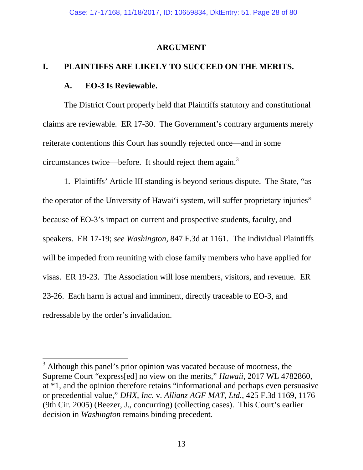### **ARGUMENT**

### **I. PLAINTIFFS ARE LIKELY TO SUCCEED ON THE MERITS.**

### **A. EO-3 Is Reviewable.**

The District Court properly held that Plaintiffs statutory and constitutional claims are reviewable. ER 17-30. The Government's contrary arguments merely reiterate contentions this Court has soundly rejected once—and in some circumstances twice—before. It should reject them again.<sup>3</sup>

1. Plaintiffs' Article III standing is beyond serious dispute. The State, "as the operator of the University of Hawai'i system, will suffer proprietary injuries" because of EO-3's impact on current and prospective students, faculty, and speakers. ER 17-19; *see Washington*, 847 F.3d at 1161. The individual Plaintiffs will be impeded from reuniting with close family members who have applied for visas. ER 19-23. The Association will lose members, visitors, and revenue. ER 23-26. Each harm is actual and imminent, directly traceable to EO-3, and redressable by the order's invalidation.

<sup>&</sup>lt;sup>3</sup> Although this panel's prior opinion was vacated because of mootness, the Supreme Court "express[ed] no view on the merits," *Hawaii*, 2017 WL 4782860, at \*1, and the opinion therefore retains "informational and perhaps even persuasive or precedential value," *DHX, Inc.* v*. Allianz AGF MAT, Ltd.*, 425 F.3d 1169, 1176 (9th Cir. 2005) (Beezer, J., concurring) (collecting cases). This Court's earlier decision in *Washington* remains binding precedent.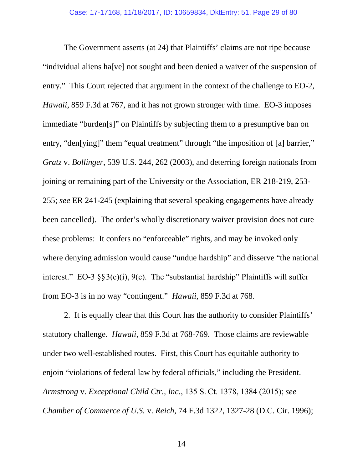The Government asserts (at 24) that Plaintiffs' claims are not ripe because "individual aliens ha[ve] not sought and been denied a waiver of the suspension of entry." This Court rejected that argument in the context of the challenge to EO-2, *Hawaii*, 859 F.3d at 767, and it has not grown stronger with time. EO-3 imposes immediate "burden[s]" on Plaintiffs by subjecting them to a presumptive ban on entry, "den[ying]" them "equal treatment" through "the imposition of [a] barrier," *Gratz* v. *Bollinger*, 539 U.S. 244, 262 (2003), and deterring foreign nationals from joining or remaining part of the University or the Association, ER 218-219, 253- 255; *see* ER 241-245 (explaining that several speaking engagements have already been cancelled). The order's wholly discretionary waiver provision does not cure these problems: It confers no "enforceable" rights, and may be invoked only where denying admission would cause "undue hardship" and disserve "the national interest." EO-3  $\S$ §3(c)(i), 9(c). The "substantial hardship" Plaintiffs will suffer from EO-3 is in no way "contingent." *Hawaii*, 859 F.3d at 768.

2. It is equally clear that this Court has the authority to consider Plaintiffs' statutory challenge. *Hawaii*, 859 F.3d at 768-769. Those claims are reviewable under two well-established routes. First, this Court has equitable authority to enjoin "violations of federal law by federal officials," including the President. *Armstrong* v. *Exceptional Child Ctr., Inc.*, 135 S. Ct. 1378, 1384 (2015); *see Chamber of Commerce of U.S.* v. *Reich*, 74 F.3d 1322, 1327-28 (D.C. Cir. 1996);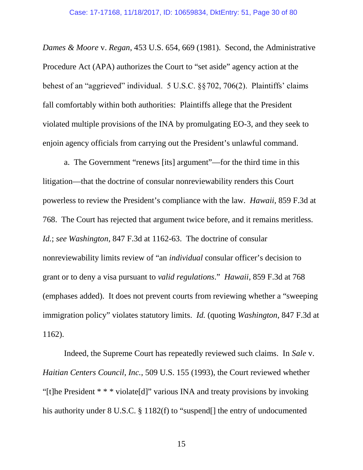*Dames & Moore* v. *Regan*, 453 U.S. 654, 669 (1981). Second, the Administrative Procedure Act (APA) authorizes the Court to "set aside" agency action at the behest of an "aggrieved" individual. 5 U.S.C. §§702, 706(2). Plaintiffs' claims fall comfortably within both authorities: Plaintiffs allege that the President violated multiple provisions of the INA by promulgating EO-3, and they seek to enjoin agency officials from carrying out the President's unlawful command.

a. The Government "renews [its] argument"—for the third time in this litigation—that the doctrine of consular nonreviewability renders this Court powerless to review the President's compliance with the law. *Hawaii*, 859 F.3d at 768. The Court has rejected that argument twice before, and it remains meritless. *Id.*; *see Washington*, 847 F.3d at 1162-63. The doctrine of consular nonreviewability limits review of "an *individual* consular officer's decision to grant or to deny a visa pursuant to *valid regulations*." *Hawaii*, 859 F.3d at 768 (emphases added). It does not prevent courts from reviewing whether a "sweeping immigration policy" violates statutory limits. *Id.* (quoting *Washington*, 847 F.3d at 1162).

Indeed, the Supreme Court has repeatedly reviewed such claims. In *Sale* v. *Haitian Centers Council, Inc.*, 509 U.S. 155 (1993), the Court reviewed whether "[t]he President \* \* \* violate[d]" various INA and treaty provisions by invoking his authority under 8 U.S.C. § 1182(f) to "suspend[] the entry of undocumented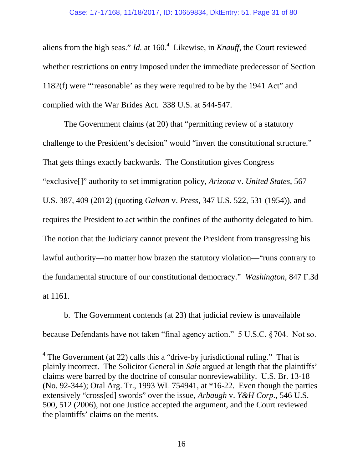aliens from the high seas." *Id.* at 160.<sup>4</sup> Likewise, in *Knauff*, the Court reviewed whether restrictions on entry imposed under the immediate predecessor of Section 1182(f) were "'reasonable' as they were required to be by the 1941 Act" and complied with the War Brides Act. 338 U.S. at 544-547.

The Government claims (at 20) that "permitting review of a statutory challenge to the President's decision" would "invert the constitutional structure." That gets things exactly backwards. The Constitution gives Congress "exclusive[]" authority to set immigration policy, *Arizona* v. *United States*, 567 U.S. 387, 409 (2012) (quoting *Galvan* v. *Press*, 347 U.S. 522, 531 (1954)), and requires the President to act within the confines of the authority delegated to him. The notion that the Judiciary cannot prevent the President from transgressing his lawful authority—no matter how brazen the statutory violation—"runs contrary to the fundamental structure of our constitutional democracy." *Washington*, 847 F.3d at 1161.

b. The Government contends (at 23) that judicial review is unavailable because Defendants have not taken "final agency action." 5 U.S.C. §704. Not so.

<sup>&</sup>lt;sup>4</sup> The Government (at 22) calls this a "drive-by jurisdictional ruling." That is plainly incorrect. The Solicitor General in *Sale* argued at length that the plaintiffs' claims were barred by the doctrine of consular nonreviewability. U.S. Br. 13-18 (No. 92-344); Oral Arg. Tr., 1993 WL 754941, at \*16-22. Even though the parties extensively "cross[ed] swords" over the issue, *Arbaugh* v. *Y&H Corp.*, 546 U.S. 500, 512 (2006), not one Justice accepted the argument, and the Court reviewed the plaintiffs' claims on the merits.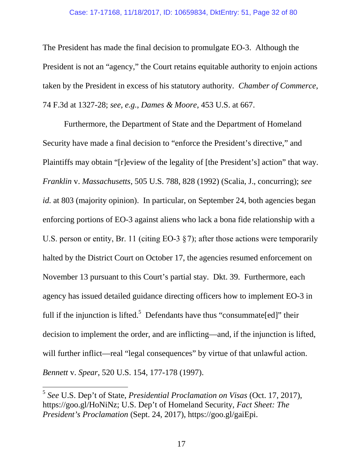The President has made the final decision to promulgate EO-3. Although the President is not an "agency," the Court retains equitable authority to enjoin actions taken by the President in excess of his statutory authority. *Chamber of Commerce*, 74 F.3d at 1327-28; *see, e.g.*, *Dames & Moore*, 453 U.S. at 667.

Furthermore, the Department of State and the Department of Homeland Security have made a final decision to "enforce the President's directive," and Plaintiffs may obtain "[r]eview of the legality of [the President's] action" that way. *Franklin* v. *Massachusetts*, 505 U.S. 788, 828 (1992) (Scalia, J., concurring); *see id.* at 803 (majority opinion). In particular, on September 24, both agencies began enforcing portions of EO-3 against aliens who lack a bona fide relationship with a U.S. person or entity, Br. 11 (citing EO-3  $\S$ 7); after those actions were temporarily halted by the District Court on October 17, the agencies resumed enforcement on November 13 pursuant to this Court's partial stay. Dkt. 39. Furthermore, each agency has issued detailed guidance directing officers how to implement EO-3 in full if the injunction is lifted.<sup>5</sup> Defendants have thus "consummate[ed]" their decision to implement the order, and are inflicting—and, if the injunction is lifted, will further inflict—real "legal consequences" by virtue of that unlawful action. *Bennett* v. *Spear*, 520 U.S. 154, 177-178 (1997).

<sup>5</sup> *See* U.S. Dep't of State, *Presidential Proclamation on Visas* (Oct. 17, 2017), https://goo.gl/HoNiNz; U.S. Dep't of Homeland Security, *Fact Sheet: The President's Proclamation* (Sept. 24, 2017), https://goo.gl/gaiEpi.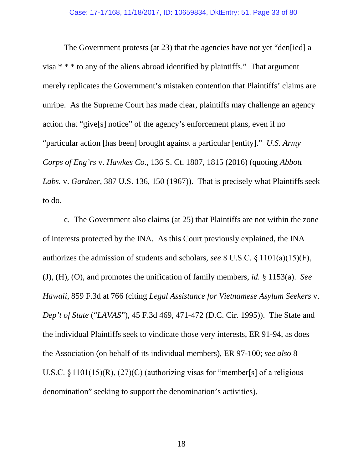The Government protests (at 23) that the agencies have not yet "den[ied] a visa \* \* \* to any of the aliens abroad identified by plaintiffs." That argument merely replicates the Government's mistaken contention that Plaintiffs' claims are unripe. As the Supreme Court has made clear, plaintiffs may challenge an agency action that "give[s] notice" of the agency's enforcement plans, even if no "particular action [has been] brought against a particular [entity]." *U.S. Army Corps of Eng'rs* v. *Hawkes Co.*, 136 S. Ct. 1807, 1815 (2016) (quoting *Abbott Labs.* v. *Gardner*, 387 U.S. 136, 150 (1967)). That is precisely what Plaintiffs seek to do.

c. The Government also claims (at 25) that Plaintiffs are not within the zone of interests protected by the INA. As this Court previously explained, the INA authorizes the admission of students and scholars, *see* 8 U.S.C. § 1101(a)(15)(F), (J), (H), (O), and promotes the unification of family members, *id.* § 1153(a). *See Hawaii*, 859 F.3d at 766 (citing *Legal Assistance for Vietnamese Asylum Seekers* v. *Dep't of State* ("*LAVAS*"), 45 F.3d 469, 471-472 (D.C. Cir. 1995)). The State and the individual Plaintiffs seek to vindicate those very interests, ER 91-94, as does the Association (on behalf of its individual members), ER 97-100; *see also* 8 U.S.C.  $\S 1101(15)$ (R),  $(27)$ (C) (authorizing visas for "member[s] of a religious denomination" seeking to support the denomination's activities).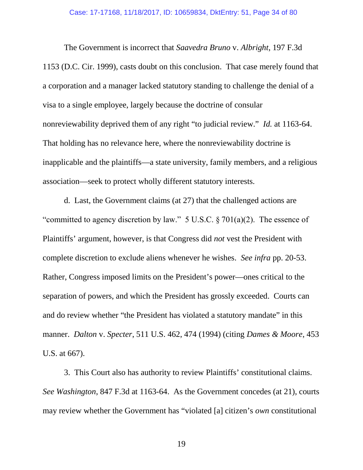The Government is incorrect that *Saavedra Bruno* v. *Albright*, 197 F.3d 1153 (D.C. Cir. 1999), casts doubt on this conclusion. That case merely found that a corporation and a manager lacked statutory standing to challenge the denial of a visa to a single employee, largely because the doctrine of consular nonreviewability deprived them of any right "to judicial review." *Id.* at 1163-64. That holding has no relevance here, where the nonreviewability doctrine is inapplicable and the plaintiffs—a state university, family members, and a religious association—seek to protect wholly different statutory interests.

d. Last, the Government claims (at 27) that the challenged actions are "committed to agency discretion by law."  $5 \text{ U.S.C.} \$   $\frac{1}{2} \cdot 701 \cdot (a)(2)$ . The essence of Plaintiffs' argument, however, is that Congress did *not* vest the President with complete discretion to exclude aliens whenever he wishes. *See infra* pp. 20-53. Rather, Congress imposed limits on the President's power—ones critical to the separation of powers, and which the President has grossly exceeded. Courts can and do review whether "the President has violated a statutory mandate" in this manner. *Dalton* v. *Specter*, 511 U.S. 462, 474 (1994) (citing *Dames & Moore*, 453 U.S. at 667).

3. This Court also has authority to review Plaintiffs' constitutional claims. *See Washington*, 847 F.3d at 1163-64. As the Government concedes (at 21), courts may review whether the Government has "violated [a] citizen's *own* constitutional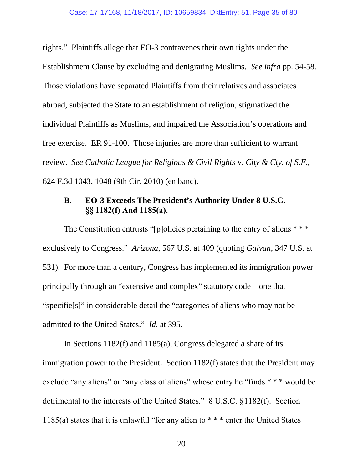rights." Plaintiffs allege that EO-3 contravenes their own rights under the Establishment Clause by excluding and denigrating Muslims. *See infra* pp. 54-58*.* Those violations have separated Plaintiffs from their relatives and associates abroad, subjected the State to an establishment of religion, stigmatized the individual Plaintiffs as Muslims, and impaired the Association's operations and free exercise. ER 91-100. Those injuries are more than sufficient to warrant review. *See Catholic League for Religious & Civil Rights* v. *City & Cty. of S.F.*, 624 F.3d 1043, 1048 (9th Cir. 2010) (en banc).

### **B. EO-3 Exceeds The President's Authority Under 8 U.S.C. §§ 1182(f) And 1185(a).**

The Constitution entrusts "[p]olicies pertaining to the entry of aliens \*\*\* exclusively to Congress." *Arizona*, 567 U.S. at 409 (quoting *Galvan*, 347 U.S. at 531). For more than a century, Congress has implemented its immigration power principally through an "extensive and complex" statutory code—one that "specifie[s]" in considerable detail the "categories of aliens who may not be admitted to the United States." *Id.* at 395.

In Sections 1182(f) and 1185(a), Congress delegated a share of its immigration power to the President. Section 1182(f) states that the President may exclude "any aliens" or "any class of aliens" whose entry he "finds \* \* \* would be detrimental to the interests of the United States." 8 U.S.C. §1182(f). Section 1185(a) states that it is unlawful "for any alien to \* \* \* enter the United States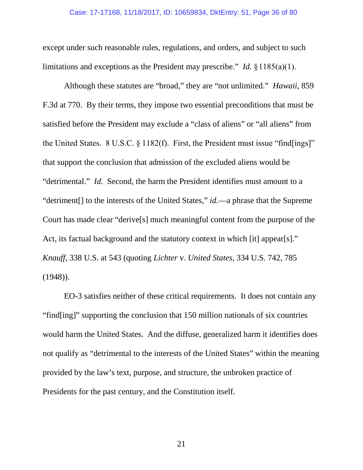except under such reasonable rules, regulations, and orders, and subject to such limitations and exceptions as the President may prescribe." *Id.* §1185(a)(1).

Although these statutes are "broad," they are "not unlimited." *Hawaii*, 859 F.3d at 770. By their terms, they impose two essential preconditions that must be satisfied before the President may exclude a "class of aliens" or "all aliens" from the United States. 8 U.S.C. § 1182(f). First, the President must issue "find[ings]" that support the conclusion that admission of the excluded aliens would be "detrimental." *Id.* Second, the harm the President identifies must amount to a "detriment[] to the interests of the United States," *id.*—a phrase that the Supreme Court has made clear "derive[s] much meaningful content from the purpose of the Act, its factual background and the statutory context in which [it] appear[s]." *Knauff*, 338 U.S. at 543 (quoting *Lichter* v. *United States*, 334 U.S. 742, 785 (1948)).

EO-3 satisfies neither of these critical requirements. It does not contain any "find[ing]" supporting the conclusion that 150 million nationals of six countries would harm the United States. And the diffuse, generalized harm it identifies does not qualify as "detrimental to the interests of the United States" within the meaning provided by the law's text, purpose, and structure, the unbroken practice of Presidents for the past century, and the Constitution itself.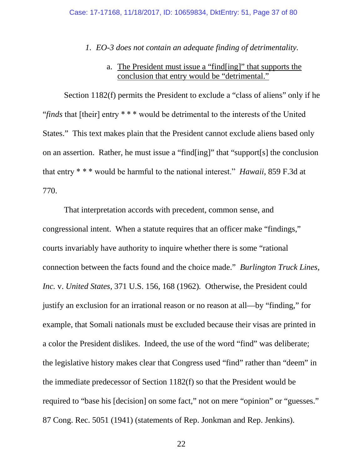### *1. EO-3 does not contain an adequate finding of detrimentality.*

# a. The President must issue a "find[ing]" that supports the conclusion that entry would be "detrimental."

Section 1182(f) permits the President to exclude a "class of aliens" only if he "*finds* that [their] entry \* \* \* would be detrimental to the interests of the United States." This text makes plain that the President cannot exclude aliens based only on an assertion. Rather, he must issue a "find[ing]" that "support[s] the conclusion that entry \* \* \* would be harmful to the national interest." *Hawaii*, 859 F.3d at 770.

That interpretation accords with precedent, common sense, and congressional intent. When a statute requires that an officer make "findings," courts invariably have authority to inquire whether there is some "rational connection between the facts found and the choice made." *Burlington Truck Lines, Inc.* v. *United States*, 371 U.S. 156, 168 (1962)*.* Otherwise, the President could justify an exclusion for an irrational reason or no reason at all—by "finding," for example, that Somali nationals must be excluded because their visas are printed in a color the President dislikes. Indeed, the use of the word "find" was deliberate; the legislative history makes clear that Congress used "find" rather than "deem" in the immediate predecessor of Section 1182(f) so that the President would be required to "base his [decision] on some fact," not on mere "opinion" or "guesses." 87 Cong. Rec. 5051 (1941) (statements of Rep. Jonkman and Rep. Jenkins).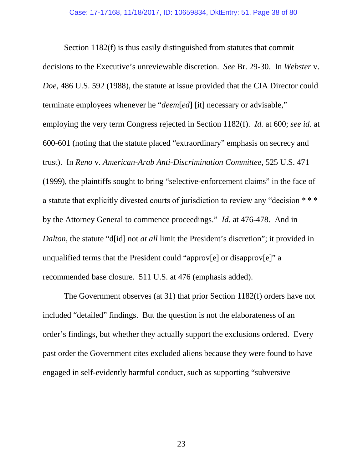Section 1182(f) is thus easily distinguished from statutes that commit decisions to the Executive's unreviewable discretion. *See* Br. 29-30. In *Webster* v. *Doe*, 486 U.S. 592 (1988), the statute at issue provided that the CIA Director could terminate employees whenever he "*deem*[*ed*] [it] necessary or advisable," employing the very term Congress rejected in Section 1182(f). *Id.* at 600; *see id.* at 600-601 (noting that the statute placed "extraordinary" emphasis on secrecy and trust). In *Reno* v. *American-Arab Anti-Discrimination Committee*, 525 U.S. 471 (1999), the plaintiffs sought to bring "selective-enforcement claims" in the face of a statute that explicitly divested courts of jurisdiction to review any "decision \* \* \* by the Attorney General to commence proceedings." *Id.* at 476-478. And in *Dalton*, the statute "d[id] not *at all* limit the President's discretion"; it provided in unqualified terms that the President could "approv[e] or disapprov[e]" a recommended base closure. 511 U.S. at 476 (emphasis added).

The Government observes (at 31) that prior Section 1182(f) orders have not included "detailed" findings. But the question is not the elaborateness of an order's findings, but whether they actually support the exclusions ordered. Every past order the Government cites excluded aliens because they were found to have engaged in self-evidently harmful conduct, such as supporting "subversive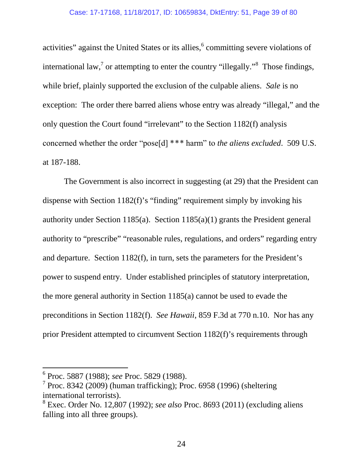activities" against the United States or its allies, <sup>6</sup> committing severe violations of international law,<sup>7</sup> or attempting to enter the country "illegally."<sup>8</sup> Those findings, while brief, plainly supported the exclusion of the culpable aliens. *Sale* is no exception: The order there barred aliens whose entry was already "illegal," and the only question the Court found "irrelevant" to the Section 1182(f) analysis concerned whether the order "pose[d] \*\*\* harm" to *the aliens excluded*. 509 U.S. at 187-188.

The Government is also incorrect in suggesting (at 29) that the President can dispense with Section 1182(f)'s "finding" requirement simply by invoking his authority under Section 1185(a). Section 1185(a)(1) grants the President general authority to "prescribe" "reasonable rules, regulations, and orders" regarding entry and departure. Section 1182(f), in turn, sets the parameters for the President's power to suspend entry. Under established principles of statutory interpretation, the more general authority in Section 1185(a) cannot be used to evade the preconditions in Section 1182(f). *See Hawaii*, 859 F.3d at 770 n.10. Nor has any prior President attempted to circumvent Section 1182(f)'s requirements through

<sup>6</sup> Proc. 5887 (1988); *see* Proc. 5829 (1988).

 $7$  Proc. 8342 (2009) (human trafficking); Proc. 6958 (1996) (sheltering international terrorists).

<sup>8</sup> Exec. Order No. 12,807 (1992); *see also* Proc. 8693 (2011) (excluding aliens falling into all three groups).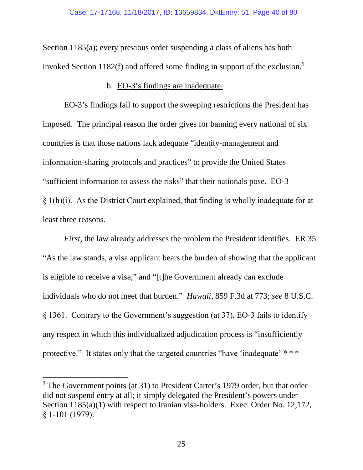Section 1185(a); every previous order suspending a class of aliens has both invoked Section 1182(f) and offered some finding in support of the exclusion.<sup>9</sup>

### b. EO-3's findings are inadequate.

EO-3's findings fail to support the sweeping restrictions the President has imposed. The principal reason the order gives for banning every national of six countries is that those nations lack adequate "identity-management and information-sharing protocols and practices" to provide the United States "sufficient information to assess the risks" that their nationals pose. EO-3  $§$  1(h)(i). As the District Court explained, that finding is wholly inadequate for at least three reasons.

*First*, the law already addresses the problem the President identifies. ER 35. "As the law stands, a visa applicant bears the burden of showing that the applicant is eligible to receive a visa," and "[t]he Government already can exclude individuals who do not meet that burden." *Hawaii*, 859 F.3d at 773; *see* 8 U.S.C. § 1361. Contrary to the Government's suggestion (at 37), EO-3 fails to identify any respect in which this individualized adjudication process is "insufficiently protective." It states only that the targeted countries "have 'inadequate' \* \* \*

<sup>&</sup>lt;sup>9</sup> The Government points (at 31) to President Carter's 1979 order, but that order did not suspend entry at all; it simply delegated the President's powers under Section 1185(a)(1) with respect to Iranian visa-holders. Exec. Order No. 12,172, § 1-101 (1979).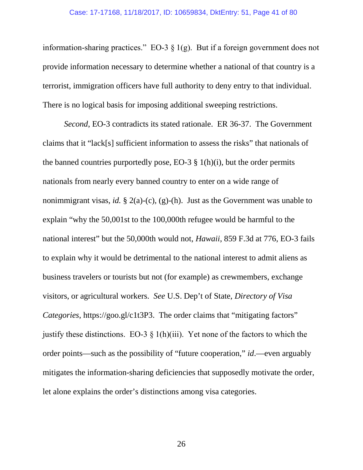information-sharing practices." EO-3 § 1(g). But if a foreign government does not provide information necessary to determine whether a national of that country is a terrorist, immigration officers have full authority to deny entry to that individual. There is no logical basis for imposing additional sweeping restrictions.

*Second*, EO-3 contradicts its stated rationale. ER 36-37. The Government claims that it "lack[s] sufficient information to assess the risks" that nationals of the banned countries purportedly pose, EO-3  $\S$  1(h)(i), but the order permits nationals from nearly every banned country to enter on a wide range of nonimmigrant visas, *id.* § 2(a)-(c), (g)-(h). Just as the Government was unable to explain "why the 50,001st to the 100,000th refugee would be harmful to the national interest" but the 50,000th would not, *Hawaii*, 859 F.3d at 776, EO-3 fails to explain why it would be detrimental to the national interest to admit aliens as business travelers or tourists but not (for example) as crewmembers, exchange visitors, or agricultural workers. *See* U.S. Dep't of State, *Directory of Visa Categories*, https://goo.gl/c1t3P3. The order claims that "mitigating factors" justify these distinctions. EO-3  $\S$  1(h)(iii). Yet none of the factors to which the order points—such as the possibility of "future cooperation," *id*.—even arguably mitigates the information-sharing deficiencies that supposedly motivate the order, let alone explains the order's distinctions among visa categories.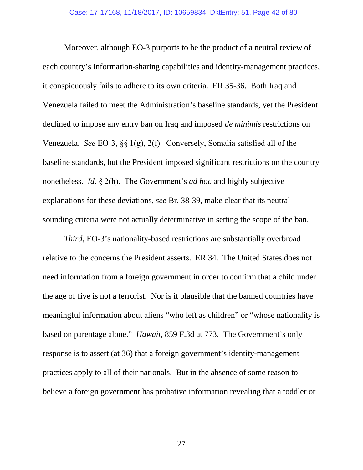Moreover, although EO-3 purports to be the product of a neutral review of each country's information-sharing capabilities and identity-management practices, it conspicuously fails to adhere to its own criteria. ER 35-36. Both Iraq and Venezuela failed to meet the Administration's baseline standards, yet the President declined to impose any entry ban on Iraq and imposed *de minimis* restrictions on Venezuela. *See* EO-3, §§ 1(g), 2(f). Conversely, Somalia satisfied all of the baseline standards, but the President imposed significant restrictions on the country nonetheless. *Id.* § 2(h). The Government's *ad hoc* and highly subjective explanations for these deviations, *see* Br. 38-39, make clear that its neutralsounding criteria were not actually determinative in setting the scope of the ban.

*Third*, EO-3's nationality-based restrictions are substantially overbroad relative to the concerns the President asserts. ER 34. The United States does not need information from a foreign government in order to confirm that a child under the age of five is not a terrorist. Nor is it plausible that the banned countries have meaningful information about aliens "who left as children" or "whose nationality is based on parentage alone." *Hawaii*, 859 F.3d at 773. The Government's only response is to assert (at 36) that a foreign government's identity-management practices apply to all of their nationals. But in the absence of some reason to believe a foreign government has probative information revealing that a toddler or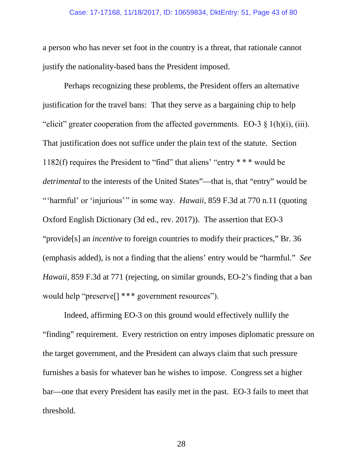#### Case: 17-17168, 11/18/2017, ID: 10659834, DktEntry: 51, Page 43 of 80

a person who has never set foot in the country is a threat, that rationale cannot justify the nationality-based bans the President imposed.

Perhaps recognizing these problems, the President offers an alternative justification for the travel bans: That they serve as a bargaining chip to help "elicit" greater cooperation from the affected governments. EO-3  $\S$  1(h)(i), (iii). That justification does not suffice under the plain text of the statute. Section 1182(f) requires the President to "find" that aliens' "entry \* \* \* would be *detrimental* to the interests of the United States"—that is, that "entry" would be "'harmful' or 'injurious'" in some way. *Hawaii*, 859 F.3d at 770 n.11 (quoting Oxford English Dictionary (3d ed., rev. 2017)). The assertion that EO-3 "provide[s] an *incentive* to foreign countries to modify their practices," Br. 36 (emphasis added), is not a finding that the aliens' entry would be "harmful." *See Hawaii*, 859 F.3d at 771 (rejecting, on similar grounds, EO-2's finding that a ban would help "preserve[] \*\*\* government resources").

Indeed, affirming EO-3 on this ground would effectively nullify the "finding" requirement. Every restriction on entry imposes diplomatic pressure on the target government, and the President can always claim that such pressure furnishes a basis for whatever ban he wishes to impose. Congress set a higher bar—one that every President has easily met in the past. EO-3 fails to meet that threshold.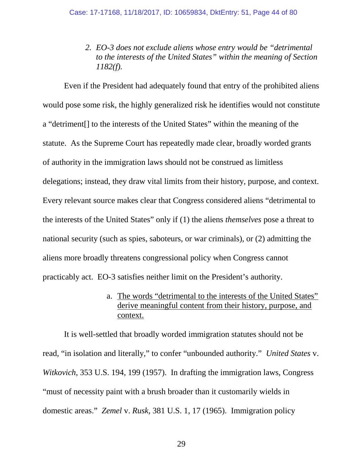*2. EO-3 does not exclude aliens whose entry would be "detrimental to the interests of the United States" within the meaning of Section 1182(f).*

Even if the President had adequately found that entry of the prohibited aliens would pose some risk, the highly generalized risk he identifies would not constitute a "detriment[] to the interests of the United States" within the meaning of the statute. As the Supreme Court has repeatedly made clear, broadly worded grants of authority in the immigration laws should not be construed as limitless delegations; instead, they draw vital limits from their history, purpose, and context. Every relevant source makes clear that Congress considered aliens "detrimental to the interests of the United States" only if (1) the aliens *themselves* pose a threat to national security (such as spies, saboteurs, or war criminals), or (2) admitting the aliens more broadly threatens congressional policy when Congress cannot practicably act. EO-3 satisfies neither limit on the President's authority.

# a. The words "detrimental to the interests of the United States" derive meaningful content from their history, purpose, and context.

It is well-settled that broadly worded immigration statutes should not be read, "in isolation and literally," to confer "unbounded authority." *United States* v. *Witkovich*, 353 U.S. 194, 199 (1957). In drafting the immigration laws, Congress "must of necessity paint with a brush broader than it customarily wields in domestic areas." *Zemel* v. *Rusk*, 381 U.S. 1, 17 (1965). Immigration policy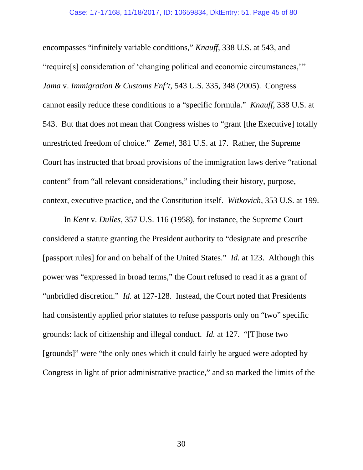encompasses "infinitely variable conditions," *Knauff*, 338 U.S. at 543, and "require[s] consideration of 'changing political and economic circumstances,'" *Jama* v. *Immigration & Customs Enf't*, 543 U.S. 335, 348 (2005). Congress cannot easily reduce these conditions to a "specific formula." *Knauff*, 338 U.S. at 543. But that does not mean that Congress wishes to "grant [the Executive] totally unrestricted freedom of choice." *Zemel*, 381 U.S. at 17. Rather, the Supreme Court has instructed that broad provisions of the immigration laws derive "rational content" from "all relevant considerations," including their history, purpose, context, executive practice, and the Constitution itself. *Witkovich*, 353 U.S. at 199.

In *Kent* v. *Dulles*, 357 U.S. 116 (1958), for instance, the Supreme Court considered a statute granting the President authority to "designate and prescribe [passport rules] for and on behalf of the United States." *Id.* at 123. Although this power was "expressed in broad terms," the Court refused to read it as a grant of "unbridled discretion." *Id.* at 127-128. Instead, the Court noted that Presidents had consistently applied prior statutes to refuse passports only on "two" specific grounds: lack of citizenship and illegal conduct. *Id.* at 127. "[T]hose two [grounds]" were "the only ones which it could fairly be argued were adopted by Congress in light of prior administrative practice," and so marked the limits of the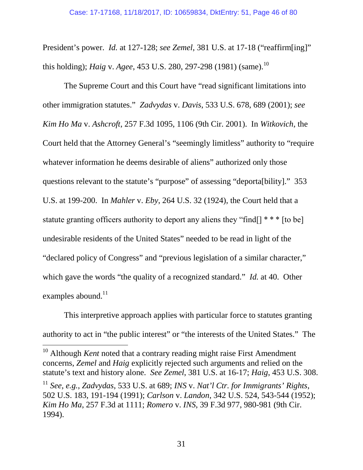President's power. *Id.* at 127-128; *see Zemel*, 381 U.S. at 17-18 ("reaffirm[ing]" this holding); *Haig* v. *Agee*, 453 U.S. 280, 297-298 (1981) (same).<sup>10</sup>

The Supreme Court and this Court have "read significant limitations into other immigration statutes." *Zadvydas* v. *Davis*, 533 U.S. 678, 689 (2001); *see Kim Ho Ma* v. *Ashcroft*, 257 F.3d 1095, 1106 (9th Cir. 2001). In *Witkovich*, the Court held that the Attorney General's "seemingly limitless" authority to "require whatever information he deems desirable of aliens" authorized only those questions relevant to the statute's "purpose" of assessing "deporta[bility]." 353 U.S. at 199-200. In *Mahler* v. *Eby*, 264 U.S. 32 (1924), the Court held that a statute granting officers authority to deport any aliens they "find  $\lceil$  \* \* \* [to be] undesirable residents of the United States" needed to be read in light of the "declared policy of Congress" and "previous legislation of a similar character," which gave the words "the quality of a recognized standard." *Id.* at 40. Other examples abound. $11$ 

This interpretive approach applies with particular force to statutes granting authority to act in "the public interest" or "the interests of the United States." The

<sup>10</sup> Although *Kent* noted that a contrary reading might raise First Amendment concerns, *Zemel* and *Haig* explicitly rejected such arguments and relied on the statute's text and history alone. *See Zemel*, 381 U.S. at 16-17; *Haig*, 453 U.S. 308.

<sup>11</sup> *See, e.g.*, *Zadvydas*, 533 U.S. at 689; *INS* v. *Nat'l Ctr. for Immigrants' Rights*, 502 U.S. 183, 191-194 (1991); *Carlson* v. *Landon*, 342 U.S. 524, 543-544 (1952); *Kim Ho Ma*, 257 F.3d at 1111; *Romero* v. *INS*, 39 F.3d 977, 980-981 (9th Cir. 1994).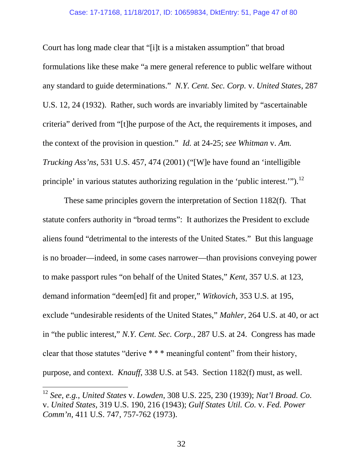### Case: 17-17168, 11/18/2017, ID: 10659834, DktEntry: 51, Page 47 of 80

Court has long made clear that "[i]t is a mistaken assumption" that broad formulations like these make "a mere general reference to public welfare without any standard to guide determinations." *N.Y. Cent. Sec. Corp.* v. *United States*, 287 U.S. 12, 24 (1932). Rather, such words are invariably limited by "ascertainable criteria" derived from "[t]he purpose of the Act, the requirements it imposes, and the context of the provision in question." *Id.* at 24-25; *see Whitman* v. *Am. Trucking Ass'ns*, 531 U.S. 457, 474 (2001) ("[W]e have found an 'intelligible principle' in various statutes authorizing regulation in the 'public interest.'").<sup>12</sup>

These same principles govern the interpretation of Section 1182(f). That statute confers authority in "broad terms": It authorizes the President to exclude aliens found "detrimental to the interests of the United States." But this language is no broader—indeed, in some cases narrower—than provisions conveying power to make passport rules "on behalf of the United States," *Kent*, 357 U.S. at 123, demand information "deem[ed] fit and proper," *Witkovich*, 353 U.S. at 195, exclude "undesirable residents of the United States," *Mahler*, 264 U.S. at 40, or act in "the public interest," *N.Y. Cent. Sec. Corp.*, 287 U.S. at 24. Congress has made clear that those statutes "derive \* \* \* meaningful content" from their history, purpose, and context. *Knauff*, 338 U.S. at 543. Section 1182(f) must, as well.

<sup>12</sup> *See, e.g.*, *United States* v. *Lowden*, 308 U.S. 225, 230 (1939); *Nat'l Broad. Co.* v. *United States*, 319 U.S. 190, 216 (1943); *Gulf States Util. Co.* v. *Fed. Power Comm'n*, 411 U.S. 747, 757-762 (1973).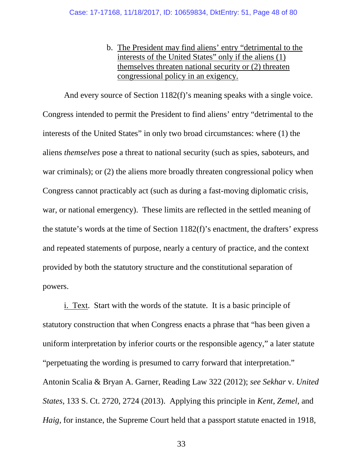b. The President may find aliens' entry "detrimental to the interests of the United States" only if the aliens (1) themselves threaten national security or (2) threaten congressional policy in an exigency.

And every source of Section 1182(f)'s meaning speaks with a single voice. Congress intended to permit the President to find aliens' entry "detrimental to the interests of the United States" in only two broad circumstances: where (1) the aliens *themselves* pose a threat to national security (such as spies, saboteurs, and war criminals); or (2) the aliens more broadly threaten congressional policy when Congress cannot practicably act (such as during a fast-moving diplomatic crisis, war, or national emergency). These limits are reflected in the settled meaning of the statute's words at the time of Section 1182(f)'s enactment, the drafters' express and repeated statements of purpose, nearly a century of practice, and the context provided by both the statutory structure and the constitutional separation of powers.

i. Text. Start with the words of the statute. It is a basic principle of statutory construction that when Congress enacts a phrase that "has been given a uniform interpretation by inferior courts or the responsible agency," a later statute "perpetuating the wording is presumed to carry forward that interpretation." Antonin Scalia & Bryan A. Garner, Reading Law 322 (2012); *see Sekhar* v. *United States*, 133 S. Ct. 2720, 2724 (2013). Applying this principle in *Kent*, *Zemel*, and *Haig*, for instance, the Supreme Court held that a passport statute enacted in 1918,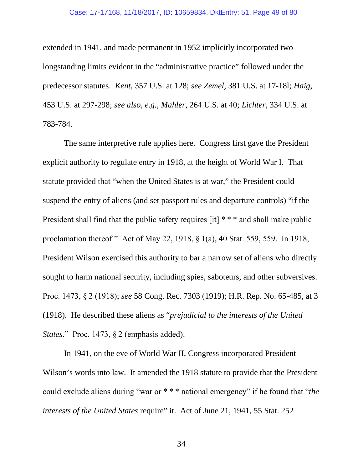#### Case: 17-17168, 11/18/2017, ID: 10659834, DktEntry: 51, Page 49 of 80

extended in 1941, and made permanent in 1952 implicitly incorporated two longstanding limits evident in the "administrative practice" followed under the predecessor statutes. *Kent*, 357 U.S. at 128; *see Zemel*, 381 U.S. at 17-18l; *Haig*, 453 U.S. at 297-298; *see also, e.g.*, *Mahler*, 264 U.S. at 40; *Lichter*, 334 U.S. at 783-784.

The same interpretive rule applies here. Congress first gave the President explicit authority to regulate entry in 1918, at the height of World War I. That statute provided that "when the United States is at war," the President could suspend the entry of aliens (and set passport rules and departure controls) "if the President shall find that the public safety requires [it] \* \* \* and shall make public proclamation thereof." Act of May 22, 1918, § 1(a), 40 Stat. 559, 559. In 1918, President Wilson exercised this authority to bar a narrow set of aliens who directly sought to harm national security, including spies, saboteurs, and other subversives. Proc. 1473, § 2 (1918); *see* 58 Cong. Rec. 7303 (1919); H.R. Rep. No. 65-485, at 3 (1918). He described these aliens as "*prejudicial to the interests of the United States*." Proc. 1473, § 2 (emphasis added).

In 1941, on the eve of World War II, Congress incorporated President Wilson's words into law. It amended the 1918 statute to provide that the President could exclude aliens during "war or \* \* \* national emergency" if he found that "*the interests of the United States* require" it. Act of June 21, 1941, 55 Stat. 252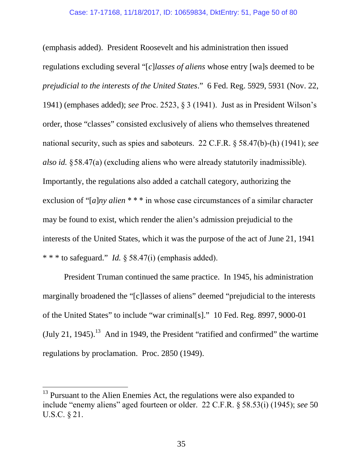(emphasis added). President Roosevelt and his administration then issued regulations excluding several "[*c*]*lasses of aliens* whose entry [wa]s deemed to be *prejudicial to the interests of the United States*." 6 Fed. Reg. 5929, 5931 (Nov. 22, 1941) (emphases added); *see* Proc. 2523, § 3 (1941). Just as in President Wilson's order, those "classes" consisted exclusively of aliens who themselves threatened national security, such as spies and saboteurs. 22 C.F.R. § 58.47(b)-(h) (1941); *see also id.* §58.47(a) (excluding aliens who were already statutorily inadmissible). Importantly, the regulations also added a catchall category, authorizing the exclusion of "[*a*]*ny alien* \* \* \* in whose case circumstances of a similar character may be found to exist, which render the alien's admission prejudicial to the interests of the United States, which it was the purpose of the act of June 21, 1941 \* \* \* to safeguard." *Id.* § 58.47(i) (emphasis added).

President Truman continued the same practice. In 1945, his administration marginally broadened the "[c]lasses of aliens" deemed "prejudicial to the interests of the United States" to include "war criminal[s]." 10 Fed. Reg. 8997, 9000-01  $(July 21, 1945).<sup>13</sup>$  And in 1949, the President "ratified and confirmed" the wartime regulations by proclamation. Proc. 2850 (1949).

<sup>&</sup>lt;sup>13</sup> Pursuant to the Alien Enemies Act, the regulations were also expanded to include "enemy aliens" aged fourteen or older. 22 C.F.R. § 58.53(i) (1945); *see* 50 U.S.C. § 21.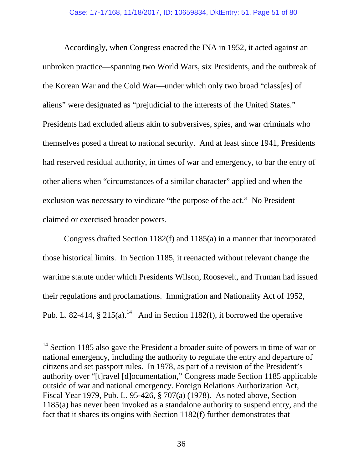Accordingly, when Congress enacted the INA in 1952, it acted against an unbroken practice—spanning two World Wars, six Presidents, and the outbreak of the Korean War and the Cold War—under which only two broad "class[es] of aliens" were designated as "prejudicial to the interests of the United States." Presidents had excluded aliens akin to subversives, spies, and war criminals who themselves posed a threat to national security. And at least since 1941, Presidents had reserved residual authority, in times of war and emergency, to bar the entry of other aliens when "circumstances of a similar character" applied and when the exclusion was necessary to vindicate "the purpose of the act." No President claimed or exercised broader powers.

Congress drafted Section 1182(f) and 1185(a) in a manner that incorporated those historical limits. In Section 1185, it reenacted without relevant change the wartime statute under which Presidents Wilson, Roosevelt, and Truman had issued their regulations and proclamations. Immigration and Nationality Act of 1952, Pub. L. 82-414,  $\S 215(a)$ .<sup>14</sup> And in Section 1182(f), it borrowed the operative

<sup>&</sup>lt;sup>14</sup> Section 1185 also gave the President a broader suite of powers in time of war or national emergency, including the authority to regulate the entry and departure of citizens and set passport rules. In 1978, as part of a revision of the President's authority over "[t]ravel [d]ocumentation," Congress made Section 1185 applicable outside of war and national emergency. Foreign Relations Authorization Act, Fiscal Year 1979, Pub. L. 95-426, § 707(a) (1978). As noted above, Section 1185(a) has never been invoked as a standalone authority to suspend entry, and the fact that it shares its origins with Section 1182(f) further demonstrates that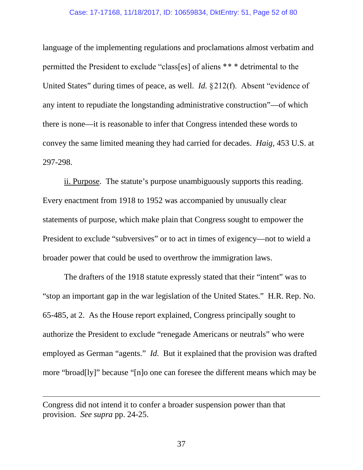### Case: 17-17168, 11/18/2017, ID: 10659834, DktEntry: 51, Page 52 of 80

language of the implementing regulations and proclamations almost verbatim and permitted the President to exclude "class[es] of aliens \*\* \* detrimental to the United States" during times of peace, as well. *Id.* §212(f). Absent "evidence of any intent to repudiate the longstanding administrative construction"—of which there is none—it is reasonable to infer that Congress intended these words to convey the same limited meaning they had carried for decades. *Haig*, 453 U.S. at 297-298.

ii. Purpose. The statute's purpose unambiguously supports this reading. Every enactment from 1918 to 1952 was accompanied by unusually clear statements of purpose, which make plain that Congress sought to empower the President to exclude "subversives" or to act in times of exigency—not to wield a broader power that could be used to overthrow the immigration laws.

The drafters of the 1918 statute expressly stated that their "intent" was to "stop an important gap in the war legislation of the United States." H.R. Rep. No. 65-485, at 2. As the House report explained, Congress principally sought to authorize the President to exclude "renegade Americans or neutrals" who were employed as German "agents." *Id.* But it explained that the provision was drafted more "broad[ly]" because "[n]o one can foresee the different means which may be

Congress did not intend it to confer a broader suspension power than that provision. *See supra* pp. 24-25.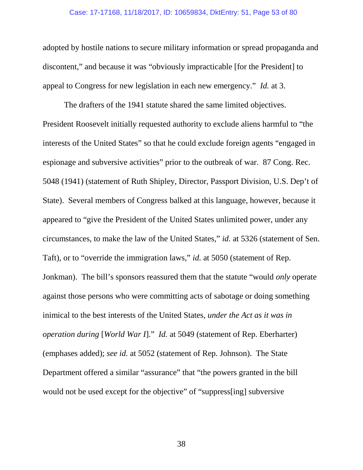### Case: 17-17168, 11/18/2017, ID: 10659834, DktEntry: 51, Page 53 of 80

adopted by hostile nations to secure military information or spread propaganda and discontent," and because it was "obviously impracticable [for the President] to appeal to Congress for new legislation in each new emergency." *Id.* at 3.

The drafters of the 1941 statute shared the same limited objectives. President Roosevelt initially requested authority to exclude aliens harmful to "the interests of the United States" so that he could exclude foreign agents "engaged in espionage and subversive activities" prior to the outbreak of war. 87 Cong. Rec. 5048 (1941) (statement of Ruth Shipley, Director, Passport Division, U.S. Dep't of State). Several members of Congress balked at this language, however, because it appeared to "give the President of the United States unlimited power, under any circumstances, to make the law of the United States," *id.* at 5326 (statement of Sen. Taft), or to "override the immigration laws," *id.* at 5050 (statement of Rep. Jonkman). The bill's sponsors reassured them that the statute "would *only* operate against those persons who were committing acts of sabotage or doing something inimical to the best interests of the United States, *under the Act as it was in operation during* [*World War I*]." *Id.* at 5049 (statement of Rep. Eberharter) (emphases added); *see id.* at 5052 (statement of Rep. Johnson). The State Department offered a similar "assurance" that "the powers granted in the bill would not be used except for the objective" of "suppress[ing] subversive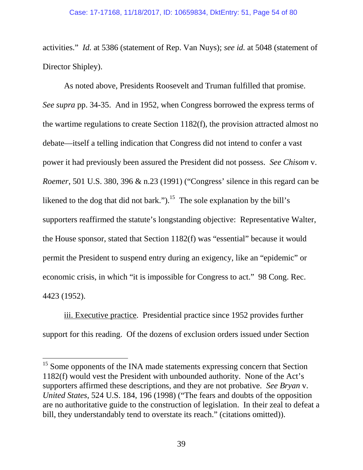activities." *Id.* at 5386 (statement of Rep. Van Nuys); *see id.* at 5048 (statement of Director Shipley).

As noted above, Presidents Roosevelt and Truman fulfilled that promise. *See supra* pp. 34-35. And in 1952, when Congress borrowed the express terms of the wartime regulations to create Section 1182(f), the provision attracted almost no debate—itself a telling indication that Congress did not intend to confer a vast power it had previously been assured the President did not possess. *See Chisom* v. *Roemer*, 501 U.S. 380, 396 & n.23 (1991) ("Congress' silence in this regard can be likened to the dog that did not bark.").<sup>15</sup> The sole explanation by the bill's supporters reaffirmed the statute's longstanding objective: Representative Walter, the House sponsor, stated that Section 1182(f) was "essential" because it would permit the President to suspend entry during an exigency, like an "epidemic" or economic crisis, in which "it is impossible for Congress to act." 98 Cong. Rec. 4423 (1952).

iii. Executive practice. Presidential practice since 1952 provides further support for this reading. Of the dozens of exclusion orders issued under Section

<sup>&</sup>lt;sup>15</sup> Some opponents of the INA made statements expressing concern that Section 1182(f) would vest the President with unbounded authority. None of the Act's supporters affirmed these descriptions, and they are not probative. *See Bryan* v. *United States*, 524 U.S. 184, 196 (1998) ("The fears and doubts of the opposition are no authoritative guide to the construction of legislation. In their zeal to defeat a bill, they understandably tend to overstate its reach." (citations omitted)).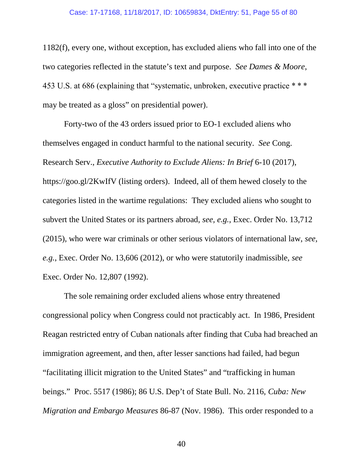### Case: 17-17168, 11/18/2017, ID: 10659834, DktEntry: 51, Page 55 of 80

1182(f), every one, without exception, has excluded aliens who fall into one of the two categories reflected in the statute's text and purpose. *See Dames & Moore*, 453 U.S. at 686 (explaining that "systematic, unbroken, executive practice \* \* \* may be treated as a gloss" on presidential power).

Forty-two of the 43 orders issued prior to EO-1 excluded aliens who themselves engaged in conduct harmful to the national security. *See* Cong. Research Serv., *Executive Authority to Exclude Aliens: In Brief* 6-10 (2017), https://goo.gl/2KwIfV (listing orders). Indeed, all of them hewed closely to the categories listed in the wartime regulations: They excluded aliens who sought to subvert the United States or its partners abroad, *see, e.g.*, Exec. Order No. 13,712 (2015), who were war criminals or other serious violators of international law, *see, e.g.*, Exec. Order No. 13,606 (2012), or who were statutorily inadmissible, *see* Exec. Order No. 12,807 (1992).

The sole remaining order excluded aliens whose entry threatened congressional policy when Congress could not practicably act. In 1986, President Reagan restricted entry of Cuban nationals after finding that Cuba had breached an immigration agreement, and then, after lesser sanctions had failed, had begun "facilitating illicit migration to the United States" and "trafficking in human beings." Proc. 5517 (1986); 86 U.S. Dep't of State Bull. No. 2116, *Cuba: New Migration and Embargo Measures* 86-87 (Nov. 1986). This order responded to a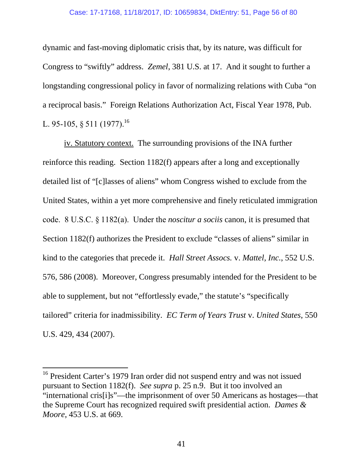dynamic and fast-moving diplomatic crisis that, by its nature, was difficult for Congress to "swiftly" address. *Zemel*, 381 U.S. at 17. And it sought to further a longstanding congressional policy in favor of normalizing relations with Cuba "on a reciprocal basis." Foreign Relations Authorization Act, Fiscal Year 1978, Pub. L. 95-105, § 511 (1977).<sup>16</sup>

iv. Statutory context. The surrounding provisions of the INA further reinforce this reading. Section 1182(f) appears after a long and exceptionally detailed list of "[c]lasses of aliens" whom Congress wished to exclude from the United States, within a yet more comprehensive and finely reticulated immigration code. 8 U.S.C. § 1182(a). Under the *noscitur a sociis* canon, it is presumed that Section 1182(f) authorizes the President to exclude "classes of aliens" similar in kind to the categories that precede it. *Hall Street Assocs.* v. *Mattel, Inc.*, 552 U.S. 576, 586 (2008). Moreover, Congress presumably intended for the President to be able to supplement, but not "effortlessly evade," the statute's "specifically tailored" criteria for inadmissibility. *EC Term of Years Trust* v. *United States*, 550 U.S. 429, 434 (2007).

<sup>&</sup>lt;sup>16</sup> President Carter's 1979 Iran order did not suspend entry and was not issued pursuant to Section 1182(f). *See supra* p. 25 n.9. But it too involved an "international cris[i]s"—the imprisonment of over 50 Americans as hostages—that the Supreme Court has recognized required swift presidential action. *Dames & Moore*, 453 U.S. at 669.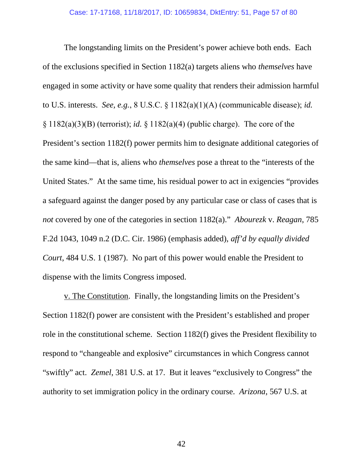The longstanding limits on the President's power achieve both ends. Each of the exclusions specified in Section 1182(a) targets aliens who *themselves* have engaged in some activity or have some quality that renders their admission harmful to U.S. interests. *See, e.g.*, 8 U.S.C. § 1182(a)(1)(A) (communicable disease); *id.*  $\S 1182(a)(3)(B)$  (terrorist); *id.*  $\S 1182(a)(4)$  (public charge). The core of the President's section 1182(f) power permits him to designate additional categories of the same kind—that is, aliens who *themselves* pose a threat to the "interests of the United States." At the same time, his residual power to act in exigencies "provides a safeguard against the danger posed by any particular case or class of cases that is *not* covered by one of the categories in section 1182(a)." *Abourezk* v. *Reagan*, 785 F.2d 1043, 1049 n.2 (D.C. Cir. 1986) (emphasis added), *aff'd by equally divided Court*, 484 U.S. 1 (1987). No part of this power would enable the President to dispense with the limits Congress imposed.

v. The Constitution. Finally, the longstanding limits on the President's Section 1182(f) power are consistent with the President's established and proper role in the constitutional scheme. Section 1182(f) gives the President flexibility to respond to "changeable and explosive" circumstances in which Congress cannot "swiftly" act. *Zemel*, 381 U.S. at 17. But it leaves "exclusively to Congress" the authority to set immigration policy in the ordinary course. *Arizona*, 567 U.S. at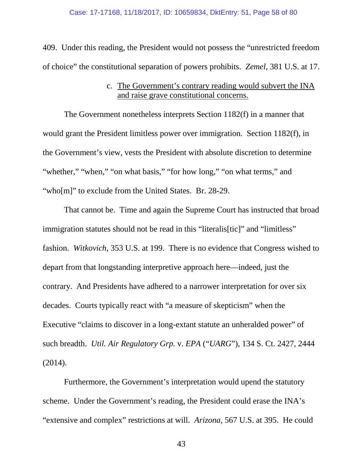409. Under this reading, the President would not possess the "unrestricted freedom of choice" the constitutional separation of powers prohibits. *Zemel*, 381 U.S. at 17.

## c. The Government's contrary reading would subvert the INA and raise grave constitutional concerns.

The Government nonetheless interprets Section 1182(f) in a manner that would grant the President limitless power over immigration. Section 1182(f), in the Government's view, vests the President with absolute discretion to determine "whether," "when," "on what basis," "for how long," "on what terms," and "who[m]" to exclude from the United States. Br. 28-29.

That cannot be. Time and again the Supreme Court has instructed that broad immigration statutes should not be read in this "literalis[tic]" and "limitless" fashion. *Witkovich*, 353 U.S. at 199. There is no evidence that Congress wished to depart from that longstanding interpretive approach here—indeed, just the contrary. And Presidents have adhered to a narrower interpretation for over six decades. Courts typically react with "a measure of skepticism" when the Executive "claims to discover in a long-extant statute an unheralded power" of such breadth. *Util. Air Regulatory Grp.* v. *EPA* ("*UARG*"), 134 S. Ct. 2427, 2444 (2014).

Furthermore, the Government's interpretation would upend the statutory scheme. Under the Government's reading, the President could erase the INA's "extensive and complex" restrictions at will. *Arizona*, 567 U.S. at 395. He could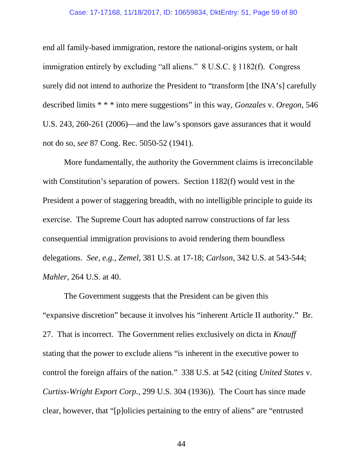#### Case: 17-17168, 11/18/2017, ID: 10659834, DktEntry: 51, Page 59 of 80

end all family-based immigration, restore the national-origins system, or halt immigration entirely by excluding "all aliens." 8 U.S.C. § 1182(f). Congress surely did not intend to authorize the President to "transform [the INA's] carefully described limits \* \* \* into mere suggestions" in this way, *Gonzales* v. *Oregon*, 546 U.S. 243, 260-261 (2006)—and the law's sponsors gave assurances that it would not do so, *see* 87 Cong. Rec. 5050-52 (1941).

More fundamentally, the authority the Government claims is irreconcilable with Constitution's separation of powers. Section 1182(f) would vest in the President a power of staggering breadth, with no intelligible principle to guide its exercise. The Supreme Court has adopted narrow constructions of far less consequential immigration provisions to avoid rendering them boundless delegations. *See, e.g.*, *Zemel*, 381 U.S. at 17-18; *Carlson*, 342 U.S. at 543-544; *Mahler*, 264 U.S. at 40.

The Government suggests that the President can be given this "expansive discretion" because it involves his "inherent Article II authority." Br. 27. That is incorrect. The Government relies exclusively on dicta in *Knauff* stating that the power to exclude aliens "is inherent in the executive power to control the foreign affairs of the nation." 338 U.S. at 542 (citing *United States* v. *Curtiss-Wright Export Corp.*, 299 U.S. 304 (1936)). The Court has since made clear, however, that "[p]olicies pertaining to the entry of aliens" are "entrusted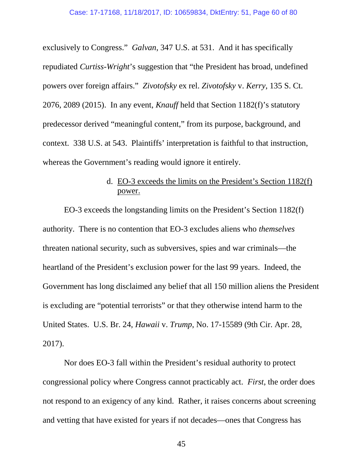exclusively to Congress." *Galvan*, 347 U.S. at 531. And it has specifically repudiated *Curtiss-Wright*'s suggestion that "the President has broad, undefined powers over foreign affairs." *Zivotofsky* ex rel. *Zivotofsky* v. *Kerry*, 135 S. Ct. 2076, 2089 (2015). In any event, *Knauff* held that Section 1182(f)'s statutory predecessor derived "meaningful content," from its purpose, background, and context. 338 U.S. at 543. Plaintiffs' interpretation is faithful to that instruction, whereas the Government's reading would ignore it entirely.

# d. EO-3 exceeds the limits on the President's Section 1182(f) power.

EO-3 exceeds the longstanding limits on the President's Section 1182(f) authority. There is no contention that EO-3 excludes aliens who *themselves* threaten national security, such as subversives, spies and war criminals—the heartland of the President's exclusion power for the last 99 years. Indeed, the Government has long disclaimed any belief that all 150 million aliens the President is excluding are "potential terrorists" or that they otherwise intend harm to the United States. U.S. Br. 24, *Hawaii* v. *Trump*, No. 17-15589 (9th Cir. Apr. 28, 2017).

Nor does EO-3 fall within the President's residual authority to protect congressional policy where Congress cannot practicably act. *First*, the order does not respond to an exigency of any kind. Rather, it raises concerns about screening and vetting that have existed for years if not decades—ones that Congress has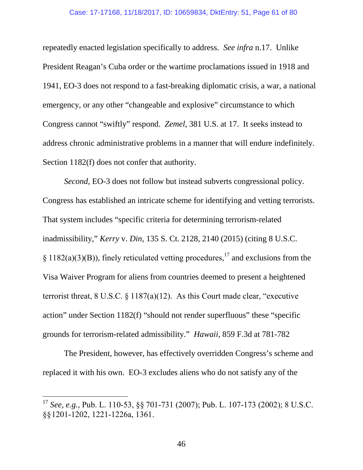repeatedly enacted legislation specifically to address. *See infra* n.17. Unlike President Reagan's Cuba order or the wartime proclamations issued in 1918 and 1941, EO-3 does not respond to a fast-breaking diplomatic crisis, a war, a national emergency, or any other "changeable and explosive" circumstance to which Congress cannot "swiftly" respond. *Zemel*, 381 U.S. at 17. It seeks instead to address chronic administrative problems in a manner that will endure indefinitely. Section 1182(f) does not confer that authority.

*Second*, EO-3 does not follow but instead subverts congressional policy. Congress has established an intricate scheme for identifying and vetting terrorists. That system includes "specific criteria for determining terrorism-related inadmissibility," *Kerry* v. *Din*, 135 S. Ct. 2128, 2140 (2015) (citing 8 U.S.C. § 1182(a)(3)(B)), finely reticulated vetting procedures,<sup>17</sup> and exclusions from the Visa Waiver Program for aliens from countries deemed to present a heightened terrorist threat, 8 U.S.C. § 1187(a)(12). As this Court made clear, "executive action" under Section 1182(f) "should not render superfluous" these "specific grounds for terrorism-related admissibility." *Hawaii*, 859 F.3d at 781-782

The President, however, has effectively overridden Congress's scheme and replaced it with his own. EO-3 excludes aliens who do not satisfy any of the

<sup>17</sup> *See, e.g.*, Pub. L. 110-53, §§ 701-731 (2007); Pub. L. 107-173 (2002); 8 U.S.C. §§1201-1202, 1221-1226a, 1361.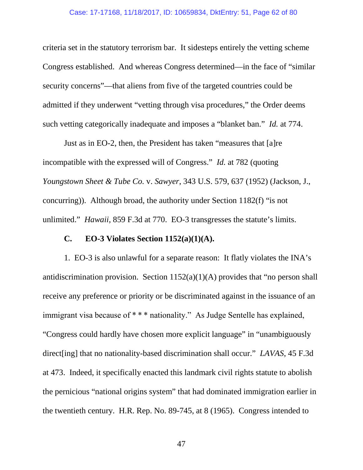criteria set in the statutory terrorism bar. It sidesteps entirely the vetting scheme Congress established. And whereas Congress determined—in the face of "similar security concerns"—that aliens from five of the targeted countries could be admitted if they underwent "vetting through visa procedures," the Order deems such vetting categorically inadequate and imposes a "blanket ban." *Id.* at 774.

Just as in EO-2, then, the President has taken "measures that [a]re incompatible with the expressed will of Congress." *Id.* at 782 (quoting *Youngstown Sheet & Tube Co.* v. *Sawyer*, 343 U.S. 579, 637 (1952) (Jackson, J., concurring)). Although broad, the authority under Section 1182(f) "is not unlimited." *Hawaii*, 859 F.3d at 770. EO-3 transgresses the statute's limits.

## **C. EO-3 Violates Section 1152(a)(1)(A).**

1. EO-3 is also unlawful for a separate reason: It flatly violates the INA's antidiscrimination provision. Section  $1152(a)(1)(A)$  provides that "no person shall receive any preference or priority or be discriminated against in the issuance of an immigrant visa because of \* \* \* nationality." As Judge Sentelle has explained, "Congress could hardly have chosen more explicit language" in "unambiguously direct[ing] that no nationality-based discrimination shall occur." *LAVAS*, 45 F.3d at 473. Indeed, it specifically enacted this landmark civil rights statute to abolish the pernicious "national origins system" that had dominated immigration earlier in the twentieth century. H.R. Rep. No. 89-745, at 8 (1965). Congress intended to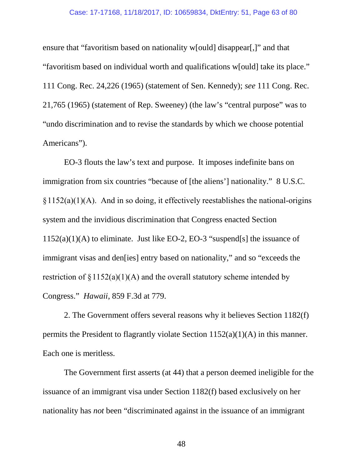### Case: 17-17168, 11/18/2017, ID: 10659834, DktEntry: 51, Page 63 of 80

ensure that "favoritism based on nationality w[ould] disappear[,]" and that "favoritism based on individual worth and qualifications w[ould] take its place." 111 Cong. Rec. 24,226 (1965) (statement of Sen. Kennedy); *see* 111 Cong. Rec. 21,765 (1965) (statement of Rep. Sweeney) (the law's "central purpose" was to "undo discrimination and to revise the standards by which we choose potential Americans").

EO-3 flouts the law's text and purpose. It imposes indefinite bans on immigration from six countries "because of [the aliens'] nationality." 8 U.S.C.  $§1152(a)(1)(A)$ . And in so doing, it effectively reestablishes the national-origins system and the invidious discrimination that Congress enacted Section  $1152(a)(1)(A)$  to eliminate. Just like EO-2, EO-3 "suspend[s] the issuance of immigrant visas and den[ies] entry based on nationality," and so "exceeds the restriction of  $\S 1152(a)(1)(A)$  and the overall statutory scheme intended by Congress." *Hawaii*, 859 F.3d at 779.

2. The Government offers several reasons why it believes Section 1182(f) permits the President to flagrantly violate Section 1152(a)(1)(A) in this manner. Each one is meritless.

The Government first asserts (at 44) that a person deemed ineligible for the issuance of an immigrant visa under Section 1182(f) based exclusively on her nationality has *not* been "discriminated against in the issuance of an immigrant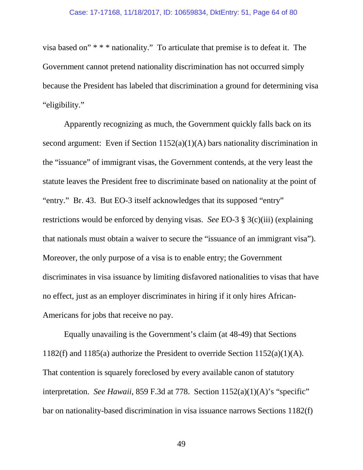visa based on" \* \* \* nationality." To articulate that premise is to defeat it. The Government cannot pretend nationality discrimination has not occurred simply because the President has labeled that discrimination a ground for determining visa "eligibility."

Apparently recognizing as much, the Government quickly falls back on its second argument: Even if Section 1152(a)(1)(A) bars nationality discrimination in the "issuance" of immigrant visas, the Government contends, at the very least the statute leaves the President free to discriminate based on nationality at the point of "entry." Br. 43. But EO-3 itself acknowledges that its supposed "entry" restrictions would be enforced by denying visas. *See* EO-3 § 3(c)(iii) (explaining that nationals must obtain a waiver to secure the "issuance of an immigrant visa"). Moreover, the only purpose of a visa is to enable entry; the Government discriminates in visa issuance by limiting disfavored nationalities to visas that have no effect, just as an employer discriminates in hiring if it only hires African-Americans for jobs that receive no pay.

Equally unavailing is the Government's claim (at 48-49) that Sections 1182(f) and 1185(a) authorize the President to override Section 1152(a)(1)(A). That contention is squarely foreclosed by every available canon of statutory interpretation. *See Hawaii*, 859 F.3d at 778. Section 1152(a)(1)(A)'s "specific" bar on nationality-based discrimination in visa issuance narrows Sections 1182(f)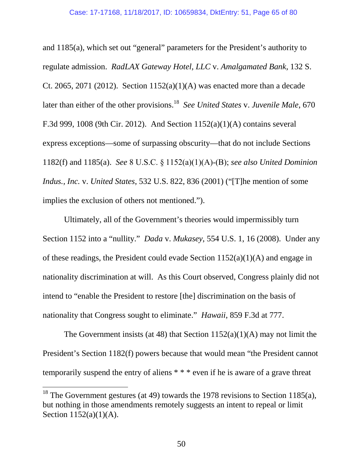and 1185(a), which set out "general" parameters for the President's authority to regulate admission. *RadLAX Gateway Hotel, LLC* v. *Amalgamated Bank*, 132 S. Ct. 2065, 2071 (2012). Section  $1152(a)(1)(A)$  was enacted more than a decade later than either of the other provisions.<sup>18</sup> *See United States* v. *Juvenile Male*, 670 F.3d 999, 1008 (9th Cir. 2012). And Section 1152(a)(1)(A) contains several express exceptions—some of surpassing obscurity—that do not include Sections 1182(f) and 1185(a). *See* 8 U.S.C. § 1152(a)(1)(A)-(B); *see also United Dominion Indus., Inc.* v. *United States*, 532 U.S. 822, 836 (2001) ("[T]he mention of some implies the exclusion of others not mentioned.").

Ultimately, all of the Government's theories would impermissibly turn Section 1152 into a "nullity." *Dada* v. *Mukasey*, 554 U.S. 1, 16 (2008). Under any of these readings, the President could evade Section 1152(a)(1)(A) and engage in nationality discrimination at will. As this Court observed, Congress plainly did not intend to "enable the President to restore [the] discrimination on the basis of nationality that Congress sought to eliminate." *Hawaii*, 859 F.3d at 777.

The Government insists (at 48) that Section  $1152(a)(1)(A)$  may not limit the President's Section 1182(f) powers because that would mean "the President cannot temporarily suspend the entry of aliens \* \* \* even if he is aware of a grave threat

<sup>&</sup>lt;sup>18</sup> The Government gestures (at 49) towards the 1978 revisions to Section 1185(a), but nothing in those amendments remotely suggests an intent to repeal or limit Section 1152(a)(1)(A).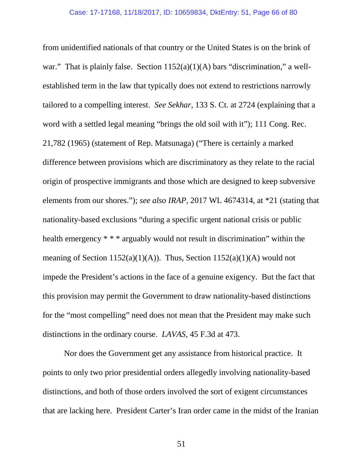from unidentified nationals of that country or the United States is on the brink of war." That is plainly false. Section  $1152(a)(1)(A)$  bars "discrimination," a wellestablished term in the law that typically does not extend to restrictions narrowly tailored to a compelling interest. *See Sekhar*, 133 S. Ct. at 2724 (explaining that a word with a settled legal meaning "brings the old soil with it"); 111 Cong. Rec. 21,782 (1965) (statement of Rep. Matsunaga) ("There is certainly a marked difference between provisions which are discriminatory as they relate to the racial origin of prospective immigrants and those which are designed to keep subversive elements from our shores."); *see also IRAP*, 2017 WL 4674314, at \*21 (stating that nationality-based exclusions "during a specific urgent national crisis or public health emergency \* \* \* arguably would not result in discrimination" within the meaning of Section 1152(a)(1)(A)). Thus, Section 1152(a)(1)(A) would not impede the President's actions in the face of a genuine exigency. But the fact that this provision may permit the Government to draw nationality-based distinctions for the "most compelling" need does not mean that the President may make such distinctions in the ordinary course. *LAVAS*, 45 F.3d at 473.

Nor does the Government get any assistance from historical practice. It points to only two prior presidential orders allegedly involving nationality-based distinctions, and both of those orders involved the sort of exigent circumstances that are lacking here. President Carter's Iran order came in the midst of the Iranian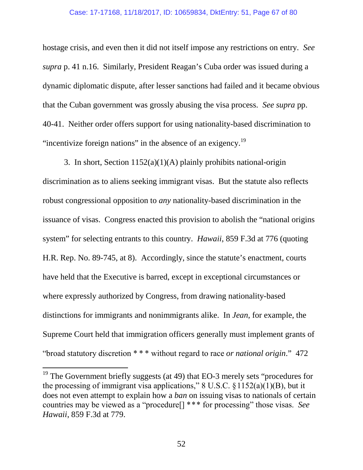### Case: 17-17168, 11/18/2017, ID: 10659834, DktEntry: 51, Page 67 of 80

hostage crisis, and even then it did not itself impose any restrictions on entry. *See supra* p. 41 n.16. Similarly, President Reagan's Cuba order was issued during a dynamic diplomatic dispute, after lesser sanctions had failed and it became obvious that the Cuban government was grossly abusing the visa process. *See supra* pp. 40-41. Neither order offers support for using nationality-based discrimination to "incentivize foreign nations" in the absence of an exigency.<sup>19</sup>

3. In short, Section 1152(a)(1)(A) plainly prohibits national-origin discrimination as to aliens seeking immigrant visas. But the statute also reflects robust congressional opposition to *any* nationality-based discrimination in the issuance of visas. Congress enacted this provision to abolish the "national origins system" for selecting entrants to this country. *Hawaii*, 859 F.3d at 776 (quoting H.R. Rep. No. 89-745, at 8). Accordingly, since the statute's enactment, courts have held that the Executive is barred, except in exceptional circumstances or where expressly authorized by Congress, from drawing nationality-based distinctions for immigrants and nonimmigrants alike. In *Jean*, for example, the Supreme Court held that immigration officers generally must implement grants of "broad statutory discretion \* \* \* without regard to race *or national origin*." 472

<sup>&</sup>lt;sup>19</sup> The Government briefly suggests (at 49) that EO-3 merely sets "procedures for the processing of immigrant visa applications,"  $8 \text{ U.S.C. } \frac{6}{3}$  1152(a)(1)(B), but it does not even attempt to explain how a *ban* on issuing visas to nationals of certain countries may be viewed as a "procedure[] \*\*\* for processing" those visas. *See Hawaii*, 859 F.3d at 779.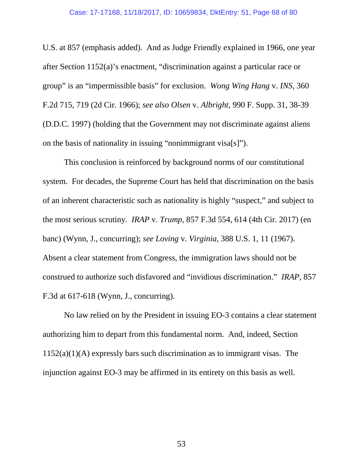#### Case: 17-17168, 11/18/2017, ID: 10659834, DktEntry: 51, Page 68 of 80

U.S. at 857 (emphasis added). And as Judge Friendly explained in 1966, one year after Section 1152(a)'s enactment, "discrimination against a particular race or group" is an "impermissible basis" for exclusion. *Wong Wing Hang* v. *INS*, 360 F.2d 715, 719 (2d Cir. 1966); *see also Olsen* v. *Albright*, 990 F. Supp. 31, 38-39 (D.D.C. 1997) (holding that the Government may not discriminate against aliens on the basis of nationality in issuing "nonimmigrant visa[s]").

This conclusion is reinforced by background norms of our constitutional system. For decades, the Supreme Court has held that discrimination on the basis of an inherent characteristic such as nationality is highly "suspect," and subject to the most serious scrutiny. *IRAP* v. *Trump*, 857 F.3d 554, 614 (4th Cir. 2017) (en banc) (Wynn, J., concurring); *see Loving* v. *Virginia*, 388 U.S. 1, 11 (1967). Absent a clear statement from Congress, the immigration laws should not be construed to authorize such disfavored and "invidious discrimination." *IRAP*, 857 F.3d at 617-618 (Wynn, J., concurring).

No law relied on by the President in issuing EO-3 contains a clear statement authorizing him to depart from this fundamental norm. And, indeed, Section  $1152(a)(1)(A)$  expressly bars such discrimination as to immigrant visas. The injunction against EO-3 may be affirmed in its entirety on this basis as well.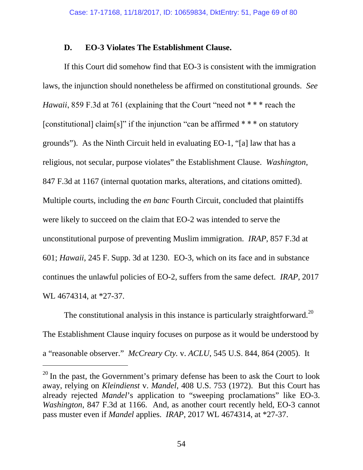### **D. EO-3 Violates The Establishment Clause.**

If this Court did somehow find that EO-3 is consistent with the immigration laws, the injunction should nonetheless be affirmed on constitutional grounds. *See Hawaii*, 859 F.3d at 761 (explaining that the Court "need not \*\*\* reach the [constitutional] claim[s]" if the injunction "can be affirmed  $***$  on statutory grounds"). As the Ninth Circuit held in evaluating EO-1, "[a] law that has a religious, not secular, purpose violates" the Establishment Clause. *Washington*, 847 F.3d at 1167 (internal quotation marks, alterations, and citations omitted). Multiple courts, including the *en banc* Fourth Circuit, concluded that plaintiffs were likely to succeed on the claim that EO-2 was intended to serve the unconstitutional purpose of preventing Muslim immigration. *IRAP*, 857 F.3d at 601; *Hawaii*, 245 F. Supp. 3d at 1230. EO-3, which on its face and in substance continues the unlawful policies of EO-2, suffers from the same defect. *IRAP*, 2017 WL 4674314, at \*27-37.

The constitutional analysis in this instance is particularly straightforward.<sup>20</sup> The Establishment Clause inquiry focuses on purpose as it would be understood by a "reasonable observer." *McCreary Cty.* v. *ACLU*, 545 U.S. 844, 864 (2005). It

 $20$  In the past, the Government's primary defense has been to ask the Court to look away, relying on *Kleindienst* v. *Mandel*, 408 U.S. 753 (1972). But this Court has already rejected *Mandel*'s application to "sweeping proclamations" like EO-3. *Washington*, 847 F.3d at 1166. And, as another court recently held, EO-3 cannot pass muster even if *Mandel* applies. *IRAP*, 2017 WL 4674314, at \*27-37.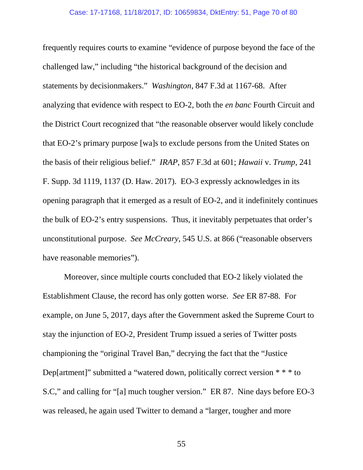frequently requires courts to examine "evidence of purpose beyond the face of the challenged law," including "the historical background of the decision and statements by decisionmakers." *Washington*, 847 F.3d at 1167-68. After analyzing that evidence with respect to EO-2, both the *en banc* Fourth Circuit and the District Court recognized that "the reasonable observer would likely conclude that EO-2's primary purpose [wa]s to exclude persons from the United States on the basis of their religious belief." *IRAP*, 857 F.3d at 601; *Hawaii* v. *Trump*, 241 F. Supp. 3d 1119, 1137 (D. Haw. 2017). EO-3 expressly acknowledges in its opening paragraph that it emerged as a result of EO-2, and it indefinitely continues the bulk of EO-2's entry suspensions. Thus, it inevitably perpetuates that order's unconstitutional purpose. *See McCreary*, 545 U.S. at 866 ("reasonable observers have reasonable memories").

Moreover, since multiple courts concluded that EO-2 likely violated the Establishment Clause, the record has only gotten worse. *See* ER 87-88. For example, on June 5, 2017, days after the Government asked the Supreme Court to stay the injunction of EO-2, President Trump issued a series of Twitter posts championing the "original Travel Ban," decrying the fact that the "Justice Dep[artment]" submitted a "watered down, politically correct version \* \* \* to S.C," and calling for "[a] much tougher version." ER 87. Nine days before EO-3 was released, he again used Twitter to demand a "larger, tougher and more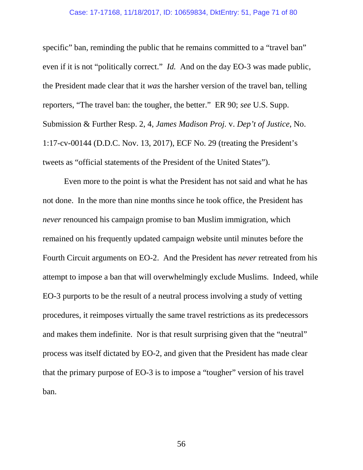#### Case: 17-17168, 11/18/2017, ID: 10659834, DktEntry: 51, Page 71 of 80

specific" ban, reminding the public that he remains committed to a "travel ban" even if it is not "politically correct." *Id.* And on the day EO-3 was made public, the President made clear that it *was* the harsher version of the travel ban, telling reporters, "The travel ban: the tougher, the better." ER 90; *see* U.S. Supp. Submission & Further Resp. 2, 4, *James Madison Proj.* v. *Dep't of Justice*, No. 1:17-cv-00144 (D.D.C. Nov. 13, 2017), ECF No. 29 (treating the President's tweets as "official statements of the President of the United States").

Even more to the point is what the President has not said and what he has not done. In the more than nine months since he took office, the President has *never* renounced his campaign promise to ban Muslim immigration, which remained on his frequently updated campaign website until minutes before the Fourth Circuit arguments on EO-2. And the President has *never* retreated from his attempt to impose a ban that will overwhelmingly exclude Muslims. Indeed, while EO-3 purports to be the result of a neutral process involving a study of vetting procedures, it reimposes virtually the same travel restrictions as its predecessors and makes them indefinite. Nor is that result surprising given that the "neutral" process was itself dictated by EO-2, and given that the President has made clear that the primary purpose of EO-3 is to impose a "tougher" version of his travel ban.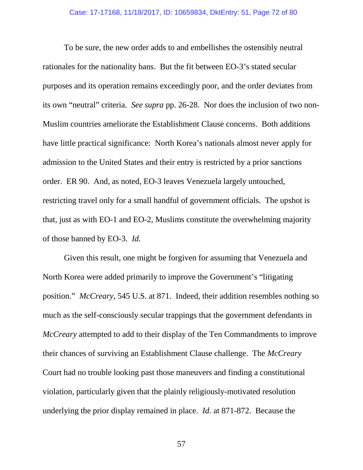To be sure, the new order adds to and embellishes the ostensibly neutral rationales for the nationality bans. But the fit between EO-3's stated secular purposes and its operation remains exceedingly poor, and the order deviates from its own "neutral" criteria. *See supra* pp. 26-28. Nor does the inclusion of two non-Muslim countries ameliorate the Establishment Clause concerns. Both additions have little practical significance: North Korea's nationals almost never apply for admission to the United States and their entry is restricted by a prior sanctions order. ER 90. And, as noted, EO-3 leaves Venezuela largely untouched, restricting travel only for a small handful of government officials. The upshot is that, just as with EO-1 and EO-2, Muslims constitute the overwhelming majority of those banned by EO-3. *Id.*

Given this result, one might be forgiven for assuming that Venezuela and North Korea were added primarily to improve the Government's "litigating position." *McCreary*, 545 U.S. at 871. Indeed, their addition resembles nothing so much as the self-consciously secular trappings that the government defendants in *McCreary* attempted to add to their display of the Ten Commandments to improve their chances of surviving an Establishment Clause challenge. The *McCreary* Court had no trouble looking past those maneuvers and finding a constitutional violation, particularly given that the plainly religiously-motivated resolution underlying the prior display remained in place. *Id.* at 871-872. Because the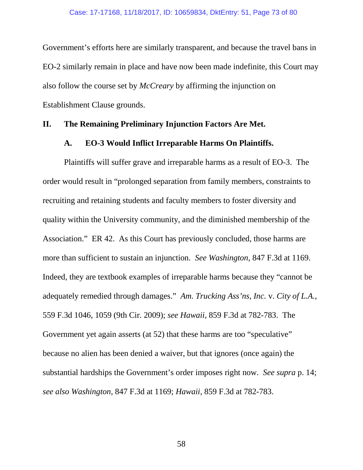Government's efforts here are similarly transparent, and because the travel bans in EO-2 similarly remain in place and have now been made indefinite, this Court may also follow the course set by *McCreary* by affirming the injunction on Establishment Clause grounds.

### **II. The Remaining Preliminary Injunction Factors Are Met.**

#### **A. EO-3 Would Inflict Irreparable Harms On Plaintiffs.**

Plaintiffs will suffer grave and irreparable harms as a result of EO-3. The order would result in "prolonged separation from family members, constraints to recruiting and retaining students and faculty members to foster diversity and quality within the University community, and the diminished membership of the Association." ER 42. As this Court has previously concluded, those harms are more than sufficient to sustain an injunction. *See Washington*, 847 F.3d at 1169. Indeed, they are textbook examples of irreparable harms because they "cannot be adequately remedied through damages." *Am. Trucking Ass'ns, Inc.* v. *City of L.A.*, 559 F.3d 1046, 1059 (9th Cir. 2009); *see Hawaii*, 859 F.3d at 782-783. The Government yet again asserts (at 52) that these harms are too "speculative" because no alien has been denied a waiver, but that ignores (once again) the substantial hardships the Government's order imposes right now. *See supra* p. 14; *see also Washington*, 847 F.3d at 1169; *Hawaii*, 859 F.3d at 782-783.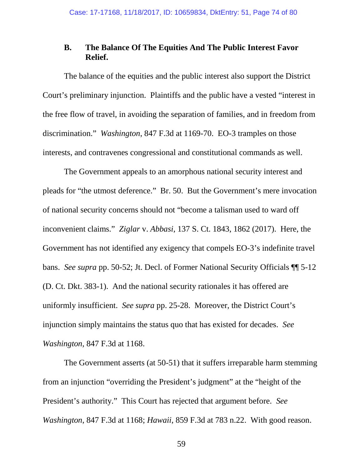# **B. The Balance Of The Equities And The Public Interest Favor Relief.**

The balance of the equities and the public interest also support the District Court's preliminary injunction. Plaintiffs and the public have a vested "interest in the free flow of travel, in avoiding the separation of families, and in freedom from discrimination." *Washington*, 847 F.3d at 1169-70. EO-3 tramples on those interests, and contravenes congressional and constitutional commands as well.

The Government appeals to an amorphous national security interest and pleads for "the utmost deference." Br. 50. But the Government's mere invocation of national security concerns should not "become a talisman used to ward off inconvenient claims." *Ziglar* v. *Abbasi*, 137 S. Ct. 1843, 1862 (2017). Here, the Government has not identified any exigency that compels EO-3's indefinite travel bans. *See supra* pp. 50-52; Jt. Decl. of Former National Security Officials ¶¶ 5-12 (D. Ct. Dkt. 383-1). And the national security rationales it has offered are uniformly insufficient. *See supra* pp. 25-28. Moreover, the District Court's injunction simply maintains the status quo that has existed for decades. *See Washington*, 847 F.3d at 1168.

The Government asserts (at 50-51) that it suffers irreparable harm stemming from an injunction "overriding the President's judgment" at the "height of the President's authority." This Court has rejected that argument before. *See Washington*, 847 F.3d at 1168; *Hawaii*, 859 F.3d at 783 n.22. With good reason.

59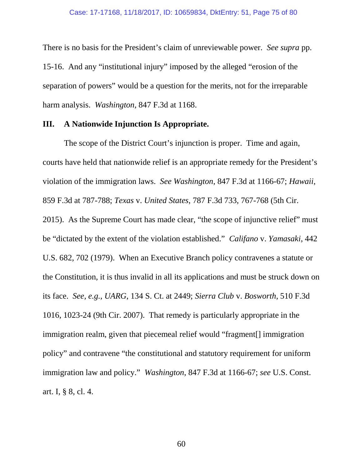There is no basis for the President's claim of unreviewable power. *See supra* pp. 15-16. And any "institutional injury" imposed by the alleged "erosion of the separation of powers" would be a question for the merits, not for the irreparable harm analysis. *Washington*, 847 F.3d at 1168.

### **III. A Nationwide Injunction Is Appropriate.**

The scope of the District Court's injunction is proper. Time and again, courts have held that nationwide relief is an appropriate remedy for the President's violation of the immigration laws. *See Washington*, 847 F.3d at 1166-67; *Hawaii*, 859 F.3d at 787-788; *Texas* v. *United States*, 787 F.3d 733, 767-768 (5th Cir. 2015). As the Supreme Court has made clear, "the scope of injunctive relief" must be "dictated by the extent of the violation established." *Califano* v. *Yamasaki*, 442 U.S. 682, 702 (1979). When an Executive Branch policy contravenes a statute or the Constitution, it is thus invalid in all its applications and must be struck down on its face. *See, e.g.*, *UARG*, 134 S. Ct. at 2449; *Sierra Club* v. *Bosworth*, 510 F.3d 1016, 1023-24 (9th Cir. 2007). That remedy is particularly appropriate in the immigration realm, given that piecemeal relief would "fragment[] immigration policy" and contravene "the constitutional and statutory requirement for uniform immigration law and policy." *Washington*, 847 F.3d at 1166-67; *see* U.S. Const. art. I, § 8, cl. 4.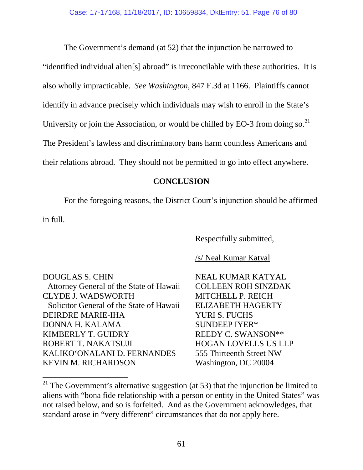The Government's demand (at 52) that the injunction be narrowed to "identified individual alien[s] abroad" is irreconcilable with these authorities. It is also wholly impracticable. *See Washington*, 847 F.3d at 1166. Plaintiffs cannot identify in advance precisely which individuals may wish to enroll in the State's University or join the Association, or would be chilled by EO-3 from doing so.<sup>21</sup> The President's lawless and discriminatory bans harm countless Americans and their relations abroad. They should not be permitted to go into effect anywhere.

### **CONCLUSION**

For the foregoing reasons, the District Court's injunction should be affirmed in full.

Respectfully submitted,

## /s/ Neal Kumar Katyal

DOUGLAS S. CHIN Attorney General of the State of Hawaii CLYDE J. WADSWORTH Solicitor General of the State of Hawaii DEIRDRE MARIE-IHA DONNA H. KALAMA KIMBERLY T. GUIDRY ROBERT T. NAKATSUJI KALIKO'ONALANI D. FERNANDES KEVIN M. RICHARDSON

NEAL KUMAR KATYAL COLLEEN ROH SINZDAK MITCHELL P. REICH ELIZABETH HAGERTY YURI S. FUCHS SUNDEEP IYER\* REEDY C. SWANSON\*\* HOGAN LOVELLS US LLP 555 Thirteenth Street NW Washington, DC 20004

 $21$  The Government's alternative suggestion (at 53) that the injunction be limited to aliens with "bona fide relationship with a person or entity in the United States" was not raised below, and so is forfeited. And as the Government acknowledges, that standard arose in "very different" circumstances that do not apply here.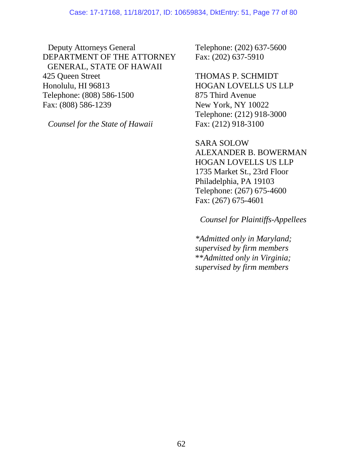Deputy Attorneys General DEPARTMENT OF THE ATTORNEY GENERAL, STATE OF HAWAII 425 Queen Street Honolulu, HI 96813 Telephone: (808) 586-1500 Fax: (808) 586-1239

*Counsel for the State of Hawaii*

Telephone: (202) 637-5600 Fax: (202) 637-5910

THOMAS P. SCHMIDT HOGAN LOVELLS US LLP 875 Third Avenue New York, NY 10022 Telephone: (212) 918-3000 Fax: (212) 918-3100

SARA SOLOW ALEXANDER B. BOWERMAN HOGAN LOVELLS US LLP 1735 Market St., 23rd Floor Philadelphia, PA 19103 Telephone: (267) 675-4600 Fax: (267) 675-4601

*Counsel for Plaintiffs-Appellees*

*\*Admitted only in Maryland; supervised by firm members* \*\**Admitted only in Virginia; supervised by firm members*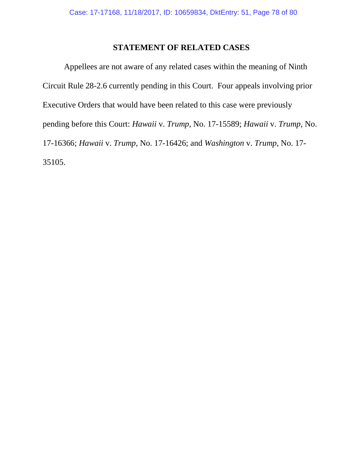## **STATEMENT OF RELATED CASES**

Appellees are not aware of any related cases within the meaning of Ninth Circuit Rule 28-2.6 currently pending in this Court. Four appeals involving prior Executive Orders that would have been related to this case were previously pending before this Court: *Hawaii* v. *Trump*, No. 17-15589; *Hawaii* v. *Trump*, No. 17-16366; *Hawaii* v. *Trump*, No. 17-16426; and *Washington* v. *Trump*, No. 17- 35105.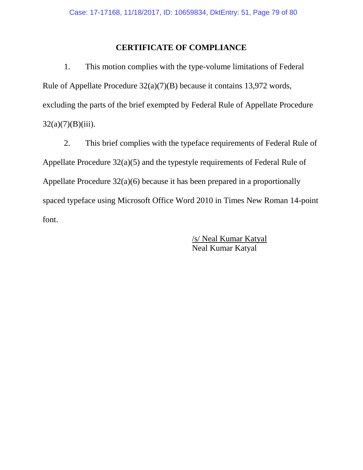# **CERTIFICATE OF COMPLIANCE**

1. This motion complies with the type-volume limitations of Federal Rule of Appellate Procedure 32(a)(7)(B) because it contains 13,972 words, excluding the parts of the brief exempted by Federal Rule of Appellate Procedure  $32(a)(7)(B)(iii)$ .

2. This brief complies with the typeface requirements of Federal Rule of Appellate Procedure 32(a)(5) and the typestyle requirements of Federal Rule of Appellate Procedure 32(a)(6) because it has been prepared in a proportionally spaced typeface using Microsoft Office Word 2010 in Times New Roman 14-point font.

> /s/ Neal Kumar Katyal Neal Kumar Katyal